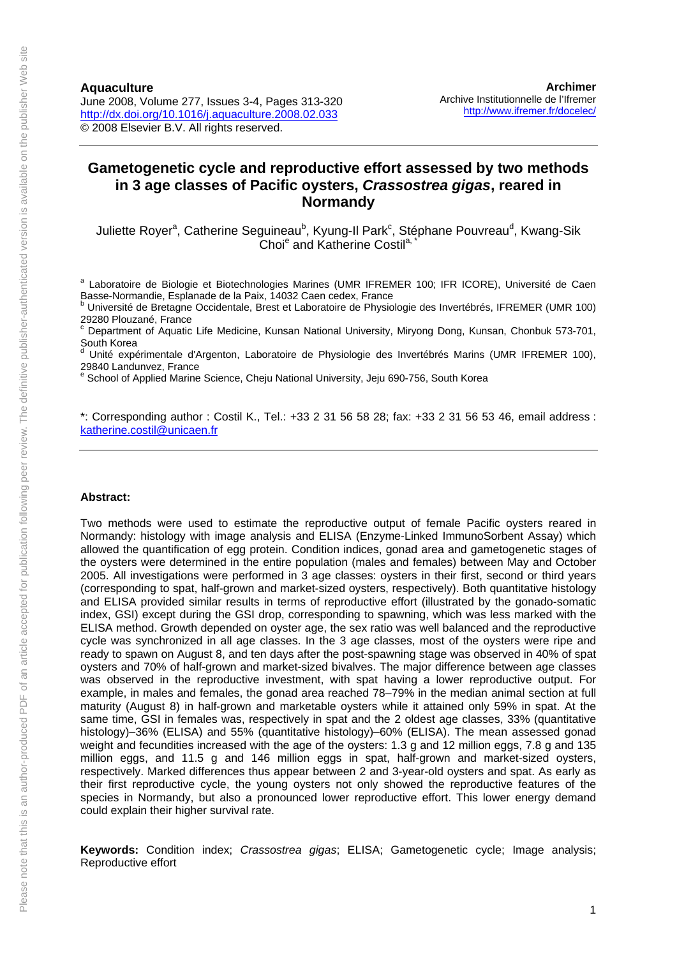## **Gametogenetic cycle and reproductive effort assessed by two methods in 3 age classes of Pacific oysters,** *Crassostrea gigas***, reared in Normandy**

Juliette Royer<sup>a</sup>, Catherine Seguineau<sup>b</sup>, Kyung-II Park<sup>c</sup>, Stéphane Pouvreau<sup>d</sup>, Kwang-Sik Choi<sup>e</sup> and Katherine Costil<sup>a,\*</sup>

<sup>a</sup> Laboratoire de Biologie et Biotechnologies Marines (UMR IFREMER 100; IFR ICORE), Université de Caen Basse-Normandie, Esplanade de la Paix, 14032 Caen cedex, France

<sup>b</sup> Université de Bretagne Occidentale, Brest et Laboratoire de Physiologie des Invertébrés, IFREMER (UMR 100) 29280 Plouzané, France

c Department of Aquatic Life Medicine, Kunsan National University, Miryong Dong, Kunsan, Chonbuk 573-701, South Korea

d Unité expérimentale d'Argenton, Laboratoire de Physiologie des Invertébrés Marins (UMR IFREMER 100), 29840 Landunvez, France

<sup>e</sup> School of Applied Marine Science, Cheju National University, Jeju 690-756, South Korea

\*: Corresponding author : Costil K., Tel.: +33 2 31 56 58 28; fax: +33 2 31 56 53 46, email address : katherine.costil@unicaen.fr

#### **Abstract:**

Two methods were used to estimate the reproductive output of female Pacific oysters reared in Normandy: histology with image analysis and ELISA (Enzyme-Linked ImmunoSorbent Assay) which allowed the quantification of egg protein. Condition indices, gonad area and gametogenetic stages of the oysters were determined in the entire population (males and females) between May and October 2005. All investigations were performed in 3 age classes: oysters in their first, second or third years (corresponding to spat, half-grown and market-sized oysters, respectively). Both quantitative histology and ELISA provided similar results in terms of reproductive effort (illustrated by the gonado-somatic index, GSI) except during the GSI drop, corresponding to spawning, which was less marked with the ELISA method. Growth depended on oyster age, the sex ratio was well balanced and the reproductive cycle was synchronized in all age classes. In the 3 age classes, most of the oysters were ripe and ready to spawn on August 8, and ten days after the post-spawning stage was observed in 40% of spat oysters and 70% of half-grown and market-sized bivalves. The major difference between age classes was observed in the reproductive investment, with spat having a lower reproductive output. For example, in males and females, the gonad area reached 78–79% in the median animal section at full maturity (August 8) in half-grown and marketable oysters while it attained only 59% in spat. At the same time, GSI in females was, respectively in spat and the 2 oldest age classes, 33% (quantitative histology)–36% (ELISA) and 55% (quantitative histology)–60% (ELISA). The mean assessed gonad weight and fecundities increased with the age of the oysters: 1.3 g and 12 million eggs, 7.8 g and 135 million eggs, and 11.5 g and 146 million eggs in spat, half-grown and market-sized oysters, respectively. Marked differences thus appear between 2 and 3-year-old oysters and spat. As early as their first reproductive cycle, the young oysters not only showed the reproductive features of the species in Normandy, but also a pronounced lower reproductive effort. This lower energy demand could explain their higher survival rate.

**Keywords:** Condition index; *Crassostrea gigas*; ELISA; Gametogenetic cycle; Image analysis; Reproductive effort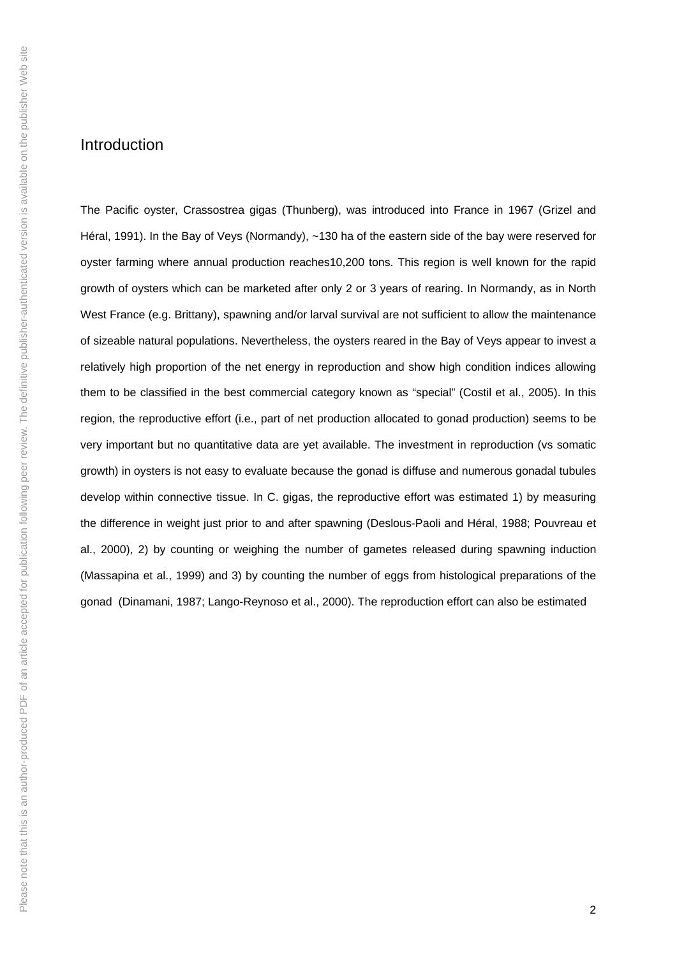# Introduction

The Pacific oyster, Crassostrea gigas (Thunberg), was introduced into France in 1967 (Grizel and Héral, 1991). In the Bay of Veys (Normandy), ~130 ha of the eastern side of the bay were reserved for oyster farming where annual production reaches10,200 tons. This region is well known for the rapid growth of oysters which can be marketed after only 2 or 3 years of rearing. In Normandy, as in North West France (e.g. Brittany), spawning and/or larval survival are not sufficient to allow the maintenance of sizeable natural populations. Nevertheless, the oysters reared in the Bay of Veys appear to invest a relatively high proportion of the net energy in reproduction and show high condition indices allowing them to be classified in the best commercial category known as "special" (Costil et al., 2005). In this region, the reproductive effort (i.e., part of net production allocated to gonad production) seems to be very important but no quantitative data are yet available. The investment in reproduction (vs somatic growth) in oysters is not easy to evaluate because the gonad is diffuse and numerous gonadal tubules develop within connective tissue. In C. gigas, the reproductive effort was estimated 1) by measuring the difference in weight just prior to and after spawning (Deslous-Paoli and Héral, 1988; Pouvreau et al., 2000), 2) by counting or weighing the number of gametes released during spawning induction (Massapina et al., 1999) and 3) by counting the number of eggs from histological preparations of the gonad (Dinamani, 1987; Lango-Reynoso et al., 2000). The reproduction effort can also be estimated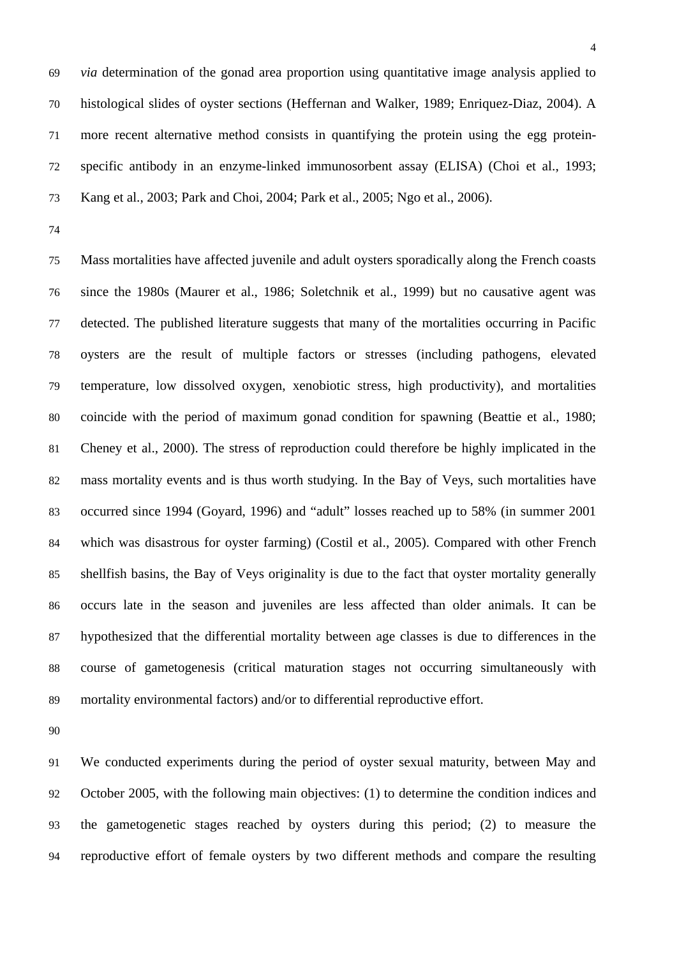*via* determination of the gonad area proportion using quantitative image analysis applied to histological slides of oyster sections (Heffernan and Walker, 1989; Enriquez-Diaz, 2004). A more recent alternative method consists in quantifying the protein using the egg protein- specific antibody in an enzyme-linked immunosorbent assay (ELISA) (Choi et al., 1993; Kang et al., 2003; Park and Choi, 2004; Park et al., 2005; Ngo et al., 2006).

 Mass mortalities have affected juvenile and adult oysters sporadically along the French coasts since the 1980s (Maurer et al., 1986; Soletchnik et al., 1999) but no causative agent was detected. The published literature suggests that many of the mortalities occurring in Pacific oysters are the result of multiple factors or stresses (including pathogens, elevated temperature, low dissolved oxygen, xenobiotic stress, high productivity), and mortalities coincide with the period of maximum gonad condition for spawning (Beattie et al., 1980; Cheney et al., 2000). The stress of reproduction could therefore be highly implicated in the mass mortality events and is thus worth studying. In the Bay of Veys, such mortalities have occurred since 1994 (Goyard, 1996) and "adult" losses reached up to 58% (in summer 2001 which was disastrous for oyster farming) (Costil et al., 2005). Compared with other French shellfish basins, the Bay of Veys originality is due to the fact that oyster mortality generally occurs late in the season and juveniles are less affected than older animals. It can be hypothesized that the differential mortality between age classes is due to differences in the course of gametogenesis (critical maturation stages not occurring simultaneously with mortality environmental factors) and/or to differential reproductive effort.

 We conducted experiments during the period of oyster sexual maturity, between May and October 2005, with the following main objectives: (1) to determine the condition indices and the gametogenetic stages reached by oysters during this period; (2) to measure the reproductive effort of female oysters by two different methods and compare the resulting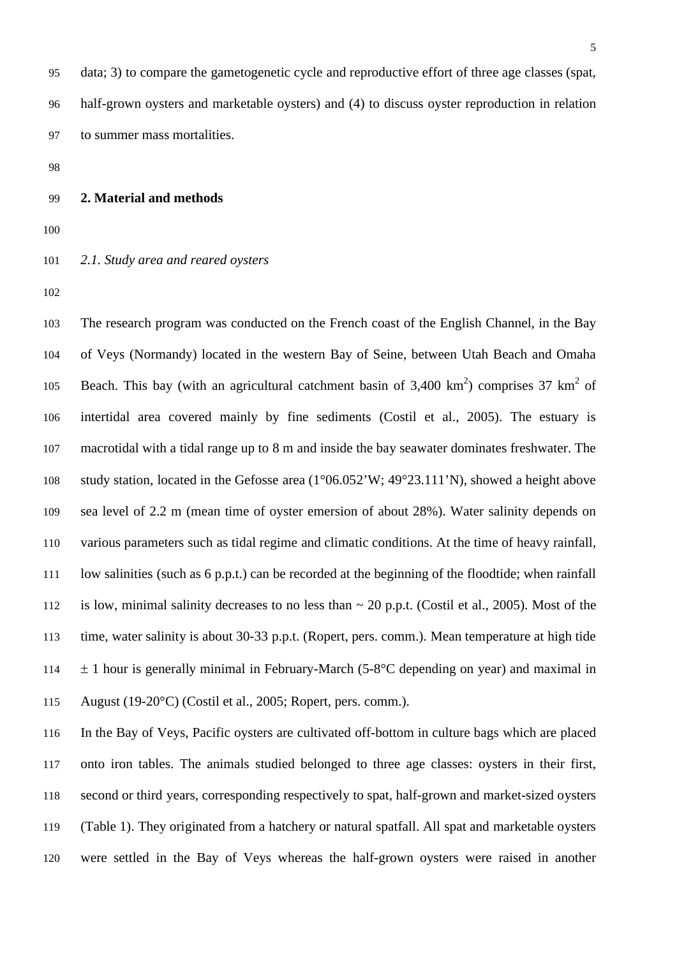data; 3) to compare the gametogenetic cycle and reproductive effort of three age classes (spat, half-grown oysters and marketable oysters) and (4) to discuss oyster reproduction in relation to summer mass mortalities.

#### **2. Material and methods**

#### *2.1. Study area and reared oysters*

 The research program was conducted on the French coast of the English Channel, in the Bay of Veys (Normandy) located in the western Bay of Seine, between Utah Beach and Omaha 105 Beach. This bay (with an agricultural catchment basin of  $3,400 \text{ km}^2$ ) comprises 37 km<sup>2</sup> of intertidal area covered mainly by fine sediments (Costil et al., 2005). The estuary is macrotidal with a tidal range up to 8 m and inside the bay seawater dominates freshwater. The study station, located in the Gefosse area (1°06.052'W; 49°23.111'N), showed a height above sea level of 2.2 m (mean time of oyster emersion of about 28%). Water salinity depends on various parameters such as tidal regime and climatic conditions. At the time of heavy rainfall, low salinities (such as 6 p.p.t.) can be recorded at the beginning of the floodtide; when rainfall is low, minimal salinity decreases to no less than ~ 20 p.p.t. (Costil et al., 2005). Most of the time, water salinity is about 30-33 p.p.t. (Ropert, pers. comm.). Mean temperature at high tide  $\pm$  1 hour is generally minimal in February-March (5-8°C depending on year) and maximal in August (19-20°C) (Costil et al., 2005; Ropert, pers. comm.).

 In the Bay of Veys, Pacific oysters are cultivated off-bottom in culture bags which are placed onto iron tables. The animals studied belonged to three age classes: oysters in their first, second or third years, corresponding respectively to spat, half-grown and market-sized oysters (Table 1). They originated from a hatchery or natural spatfall. All spat and marketable oysters were settled in the Bay of Veys whereas the half-grown oysters were raised in another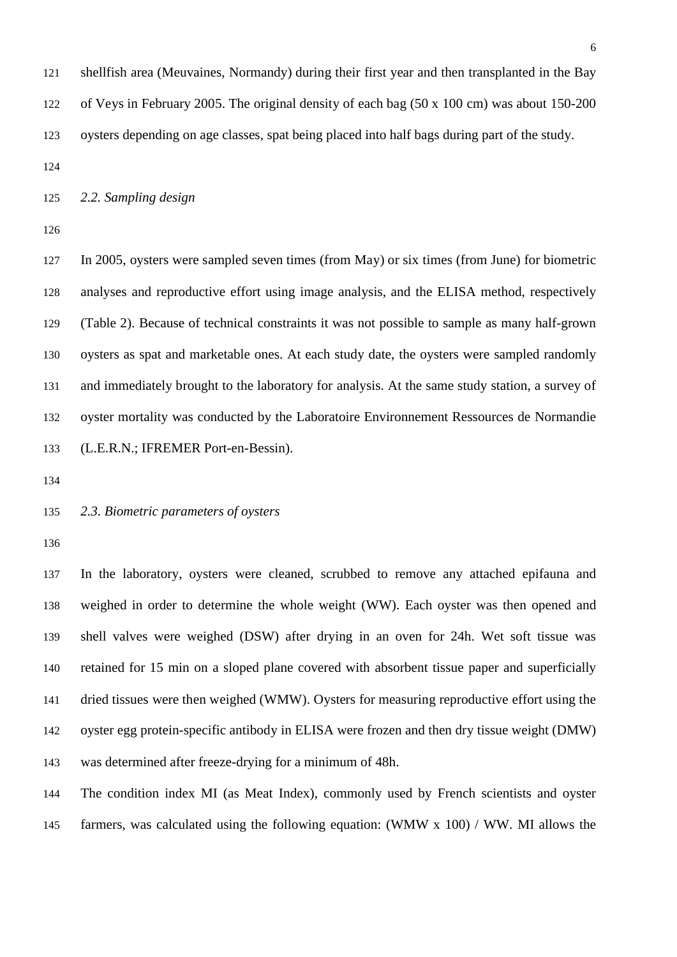shellfish area (Meuvaines, Normandy) during their first year and then transplanted in the Bay of Veys in February 2005. The original density of each bag (50 x 100 cm) was about 150-200 oysters depending on age classes, spat being placed into half bags during part of the study.

*2.2. Sampling design*

 In 2005, oysters were sampled seven times (from May) or six times (from June) for biometric analyses and reproductive effort using image analysis, and the ELISA method, respectively (Table 2). Because of technical constraints it was not possible to sample as many half-grown oysters as spat and marketable ones. At each study date, the oysters were sampled randomly and immediately brought to the laboratory for analysis. At the same study station, a survey of oyster mortality was conducted by the Laboratoire Environnement Ressources de Normandie (L.E.R.N.; IFREMER Port-en-Bessin).

*2.3. Biometric parameters of oysters*

 In the laboratory, oysters were cleaned, scrubbed to remove any attached epifauna and weighed in order to determine the whole weight (WW). Each oyster was then opened and shell valves were weighed (DSW) after drying in an oven for 24h. Wet soft tissue was retained for 15 min on a sloped plane covered with absorbent tissue paper and superficially dried tissues were then weighed (WMW). Oysters for measuring reproductive effort using the oyster egg protein-specific antibody in ELISA were frozen and then dry tissue weight (DMW) was determined after freeze-drying for a minimum of 48h.

 The condition index MI (as Meat Index), commonly used by French scientists and oyster farmers, was calculated using the following equation: (WMW x 100) / WW. MI allows the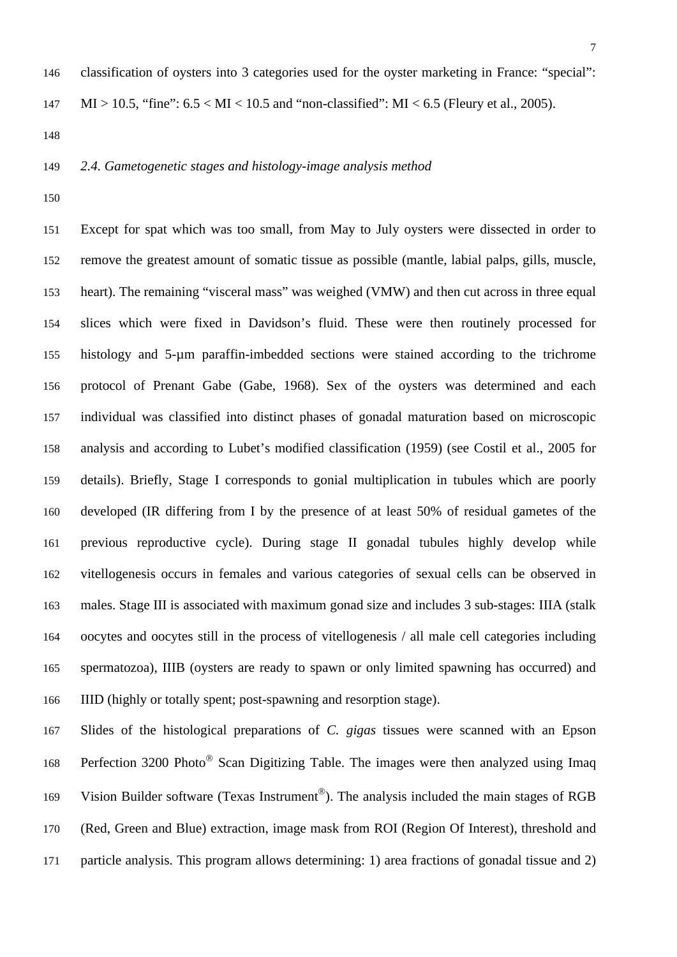147 MI > 10.5, "fine":  $6.5 < M < 10.5$  and "non-classified": MI < 6.5 (Fleury et al., 2005).

#### *2.4. Gametogenetic stages and histology-image analysis method*

 Except for spat which was too small, from May to July oysters were dissected in order to remove the greatest amount of somatic tissue as possible (mantle, labial palps, gills, muscle, heart). The remaining "visceral mass" was weighed (VMW) and then cut across in three equal slices which were fixed in Davidson's fluid. These were then routinely processed for histology and 5-µm paraffin-imbedded sections were stained according to the trichrome protocol of Prenant Gabe (Gabe, 1968). Sex of the oysters was determined and each individual was classified into distinct phases of gonadal maturation based on microscopic analysis and according to Lubet's modified classification (1959) (see Costil et al., 2005 for details). Briefly, Stage I corresponds to gonial multiplication in tubules which are poorly developed (IR differing from I by the presence of at least 50% of residual gametes of the previous reproductive cycle). During stage II gonadal tubules highly develop while vitellogenesis occurs in females and various categories of sexual cells can be observed in males. Stage III is associated with maximum gonad size and includes 3 sub-stages: IIIA (stalk oocytes and oocytes still in the process of vitellogenesis / all male cell categories including spermatozoa), IIIB (oysters are ready to spawn or only limited spawning has occurred) and IIID (highly or totally spent; post-spawning and resorption stage).

 Slides of the histological preparations of *C. gigas* tissues were scanned with an Epson 168 Perfection 3200 Photo<sup>®</sup> Scan Digitizing Table. The images were then analyzed using Imaq 169 Vision Builder software (Texas Instrument<sup>®</sup>). The analysis included the main stages of RGB (Red, Green and Blue) extraction, image mask from ROI (Region Of Interest), threshold and particle analysis. This program allows determining: 1) area fractions of gonadal tissue and 2)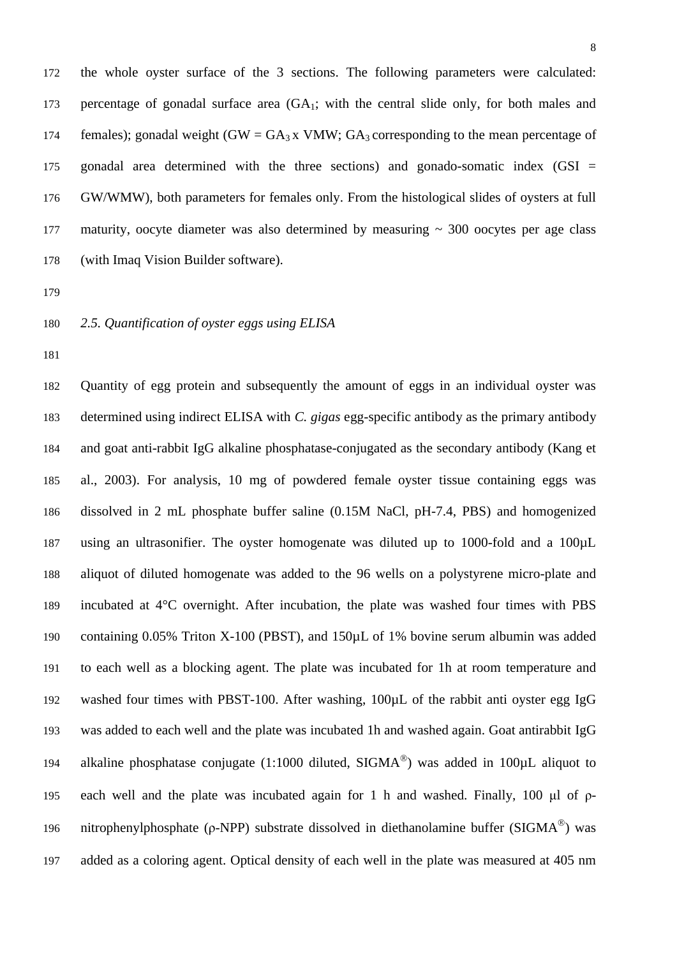the whole oyster surface of the 3 sections. The following parameters were calculated: 173 percentage of gonadal surface area  $(GA_1;$  with the central slide only, for both males and 174 females); gonadal weight  $(GW = GA_3x$  VMW;  $GA_3$  corresponding to the mean percentage of gonadal area determined with the three sections) and gonado-somatic index (GSI = GW/WMW), both parameters for females only. From the histological slides of oysters at full maturity, oocyte diameter was also determined by measuring ~ 300 oocytes per age class (with Imaq Vision Builder software).

### *2.5. Quantification of oyster eggs using ELISA*

 Quantity of egg protein and subsequently the amount of eggs in an individual oyster was determined using indirect ELISA with *C. gigas* egg-specific antibody as the primary antibody and goat anti-rabbit IgG alkaline phosphatase-conjugated as the secondary antibody (Kang et al., 2003). For analysis, 10 mg of powdered female oyster tissue containing eggs was dissolved in 2 mL phosphate buffer saline (0.15M NaCl, pH-7.4, PBS) and homogenized using an ultrasonifier. The oyster homogenate was diluted up to 1000-fold and a 100µL aliquot of diluted homogenate was added to the 96 wells on a polystyrene micro-plate and incubated at 4°C overnight. After incubation, the plate was washed four times with PBS containing 0.05% Triton X-100 (PBST), and 150µL of 1% bovine serum albumin was added to each well as a blocking agent. The plate was incubated for 1h at room temperature and washed four times with PBST-100. After washing, 100µL of the rabbit anti oyster egg IgG was added to each well and the plate was incubated 1h and washed again. Goat antirabbit IgG 194 alkaline phosphatase conjugate (1:1000 diluted,  $\text{SIGMA}^{\circledast}$ ) was added in 100µL aliquot to each well and the plate was incubated again for 1 h and washed. Finally, 100 μl of ρ-196 nitrophenylphosphate (ρ-NPP) substrate dissolved in diethanolamine buffer (SIGMA<sup>®</sup>) was added as a coloring agent. Optical density of each well in the plate was measured at 405 nm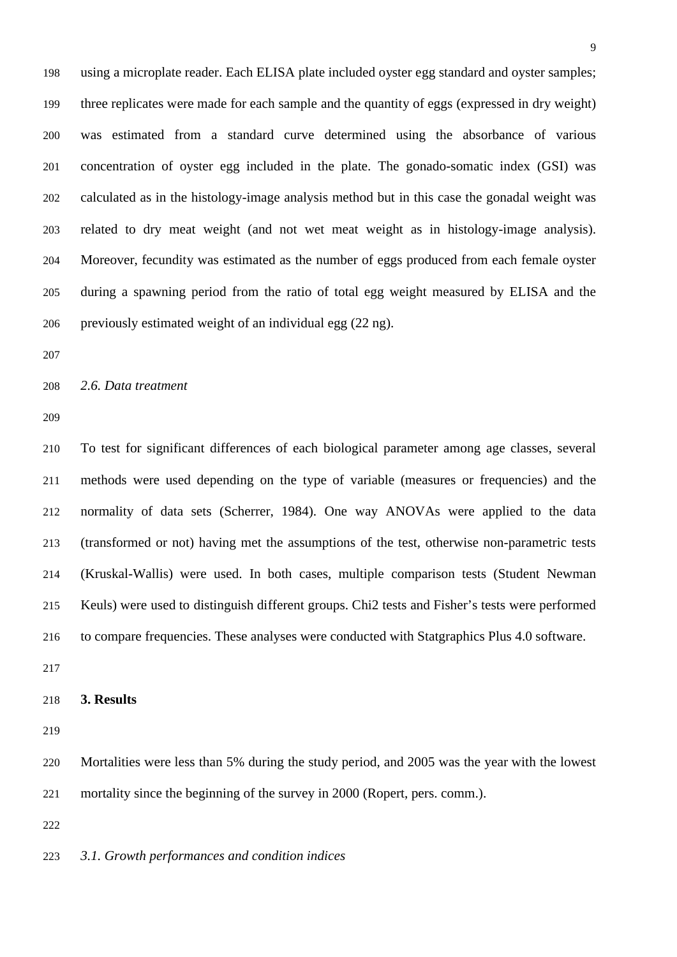using a microplate reader. Each ELISA plate included oyster egg standard and oyster samples; three replicates were made for each sample and the quantity of eggs (expressed in dry weight) was estimated from a standard curve determined using the absorbance of various concentration of oyster egg included in the plate. The gonado-somatic index (GSI) was calculated as in the histology-image analysis method but in this case the gonadal weight was related to dry meat weight (and not wet meat weight as in histology-image analysis). Moreover, fecundity was estimated as the number of eggs produced from each female oyster during a spawning period from the ratio of total egg weight measured by ELISA and the previously estimated weight of an individual egg (22 ng).

*2.6. Data treatment*

 To test for significant differences of each biological parameter among age classes, several methods were used depending on the type of variable (measures or frequencies) and the normality of data sets (Scherrer, 1984). One way ANOVAs were applied to the data (transformed or not) having met the assumptions of the test, otherwise non-parametric tests (Kruskal-Wallis) were used. In both cases, multiple comparison tests (Student Newman Keuls) were used to distinguish different groups. Chi2 tests and Fisher's tests were performed to compare frequencies. These analyses were conducted with Statgraphics Plus 4.0 software.

#### **3. Results**

 Mortalities were less than 5% during the study period, and 2005 was the year with the lowest mortality since the beginning of the survey in 2000 (Ropert, pers. comm.).

*3.1. Growth performances and condition indices*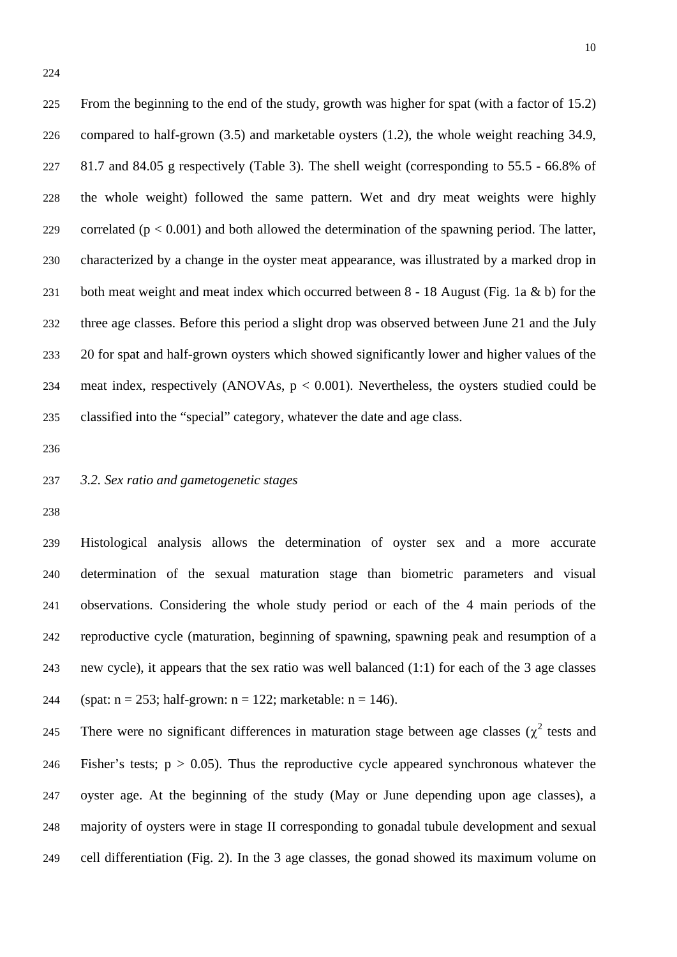From the beginning to the end of the study, growth was higher for spat (with a factor of 15.2) compared to half-grown (3.5) and marketable oysters (1.2), the whole weight reaching 34.9, 81.7 and 84.05 g respectively (Table 3). The shell weight (corresponding to 55.5 - 66.8% of the whole weight) followed the same pattern. Wet and dry meat weights were highly 229 correlated ( $p < 0.001$ ) and both allowed the determination of the spawning period. The latter, characterized by a change in the oyster meat appearance, was illustrated by a marked drop in both meat weight and meat index which occurred between 8 - 18 August (Fig. 1a & b) for the three age classes. Before this period a slight drop was observed between June 21 and the July 20 for spat and half-grown oysters which showed significantly lower and higher values of the meat index, respectively (ANOVAs, p < 0.001). Nevertheless, the oysters studied could be classified into the "special" category, whatever the date and age class.

#### *3.2. Sex ratio and gametogenetic stages*

 Histological analysis allows the determination of oyster sex and a more accurate determination of the sexual maturation stage than biometric parameters and visual observations. Considering the whole study period or each of the 4 main periods of the reproductive cycle (maturation, beginning of spawning, spawning peak and resumption of a new cycle), it appears that the sex ratio was well balanced (1:1) for each of the 3 age classes 244 (spat:  $n = 253$ ; half-grown:  $n = 122$ ; marketable:  $n = 146$ ).

245 There were no significant differences in maturation stage between age classes  $(\chi^2$  tests and 246 Fisher's tests;  $p > 0.05$ ). Thus the reproductive cycle appeared synchronous whatever the oyster age. At the beginning of the study (May or June depending upon age classes), a majority of oysters were in stage II corresponding to gonadal tubule development and sexual cell differentiation (Fig. 2). In the 3 age classes, the gonad showed its maximum volume on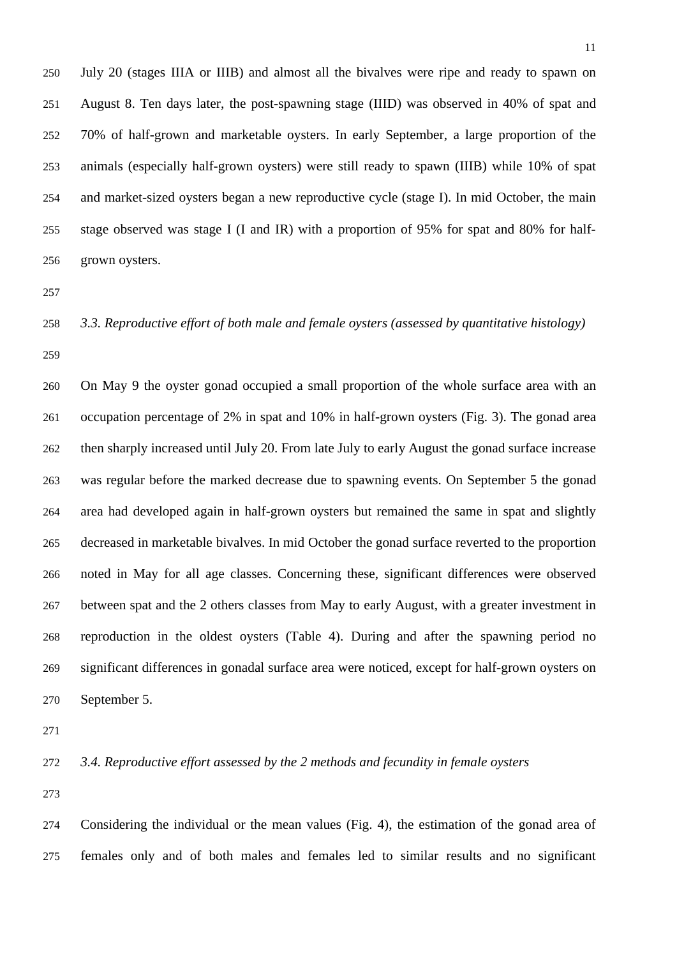July 20 (stages IIIA or IIIB) and almost all the bivalves were ripe and ready to spawn on August 8. Ten days later, the post-spawning stage (IIID) was observed in 40% of spat and 70% of half-grown and marketable oysters. In early September, a large proportion of the animals (especially half-grown oysters) were still ready to spawn (IIIB) while 10% of spat and market-sized oysters began a new reproductive cycle (stage I). In mid October, the main stage observed was stage I (I and IR) with a proportion of 95% for spat and 80% for half-grown oysters.

 *3.3. Reproductive effort of both male and female oysters (assessed by quantitative histology)* 

 On May 9 the oyster gonad occupied a small proportion of the whole surface area with an occupation percentage of 2% in spat and 10% in half-grown oysters (Fig. 3). The gonad area then sharply increased until July 20. From late July to early August the gonad surface increase was regular before the marked decrease due to spawning events. On September 5 the gonad area had developed again in half-grown oysters but remained the same in spat and slightly decreased in marketable bivalves. In mid October the gonad surface reverted to the proportion noted in May for all age classes. Concerning these, significant differences were observed between spat and the 2 others classes from May to early August, with a greater investment in reproduction in the oldest oysters (Table 4). During and after the spawning period no significant differences in gonadal surface area were noticed, except for half-grown oysters on September 5.

*3.4. Reproductive effort assessed by the 2 methods and fecundity in female oysters*

 Considering the individual or the mean values (Fig. 4), the estimation of the gonad area of females only and of both males and females led to similar results and no significant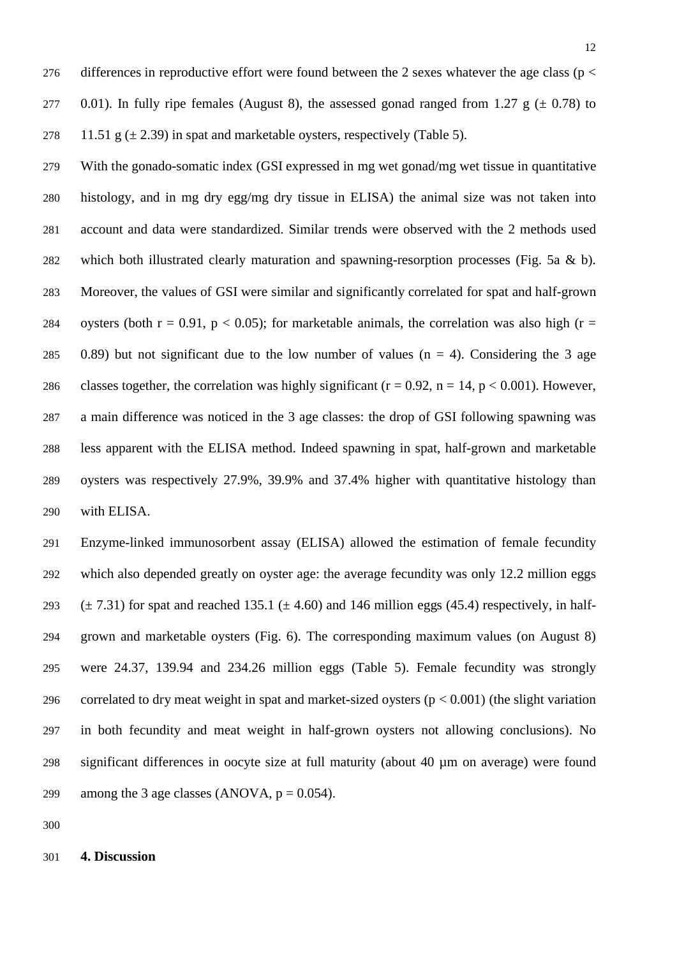278 11.51 g  $(\pm 2.39)$  in spat and marketable oysters, respectively (Table 5).

 With the gonado-somatic index (GSI expressed in mg wet gonad/mg wet tissue in quantitative histology, and in mg dry egg/mg dry tissue in ELISA) the animal size was not taken into account and data were standardized. Similar trends were observed with the 2 methods used which both illustrated clearly maturation and spawning-resorption processes (Fig. 5a & b). Moreover, the values of GSI were similar and significantly correlated for spat and half-grown 284 oysters (both  $r = 0.91$ ,  $p < 0.05$ ); for marketable animals, the correlation was also high ( $r =$ 285 0.89) but not significant due to the low number of values ( $n = 4$ ). Considering the 3 age 286 classes together, the correlation was highly significant ( $r = 0.92$ ,  $n = 14$ ,  $p < 0.001$ ). However, a main difference was noticed in the 3 age classes: the drop of GSI following spawning was less apparent with the ELISA method. Indeed spawning in spat, half-grown and marketable oysters was respectively 27.9%, 39.9% and 37.4% higher with quantitative histology than with ELISA.

 Enzyme-linked immunosorbent assay (ELISA) allowed the estimation of female fecundity which also depended greatly on oyster age: the average fecundity was only 12.2 million eggs  $(\pm 7.31)$  for spat and reached 135.1 ( $\pm 4.60$ ) and 146 million eggs (45.4) respectively, in half- grown and marketable oysters (Fig. 6). The corresponding maximum values (on August 8) were 24.37, 139.94 and 234.26 million eggs (Table 5). Female fecundity was strongly 296 correlated to dry meat weight in spat and market-sized oysters  $(p < 0.001)$  (the slight variation in both fecundity and meat weight in half-grown oysters not allowing conclusions). No significant differences in oocyte size at full maturity (about 40 µm on average) were found 299 among the 3 age classes (ANOVA,  $p = 0.054$ ).

#### **4. Discussion**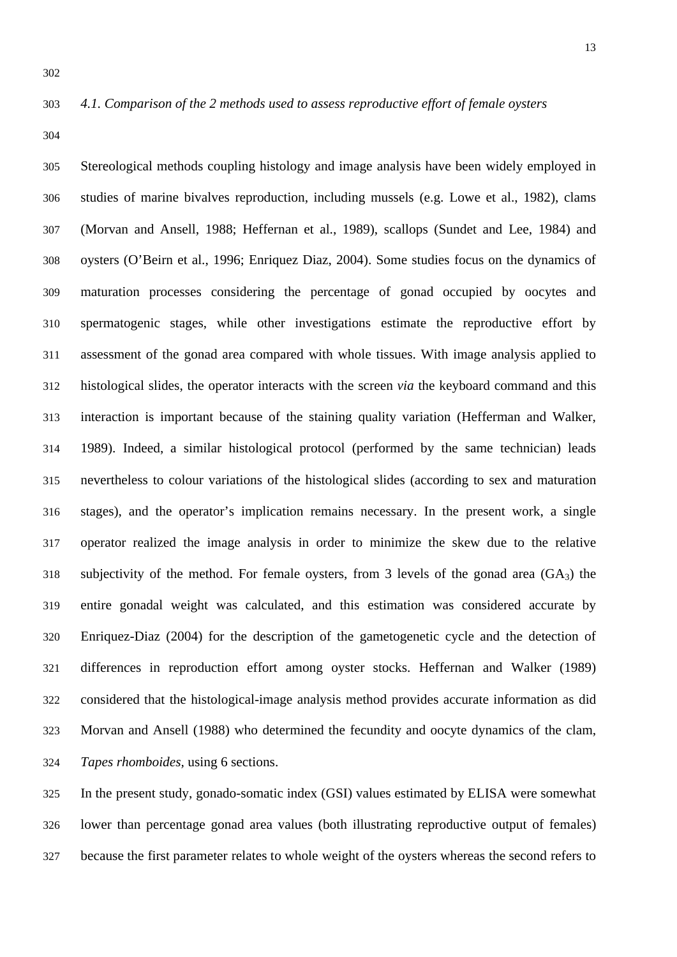#### *4.1. Comparison of the 2 methods used to assess reproductive effort of female oysters*

 Stereological methods coupling histology and image analysis have been widely employed in studies of marine bivalves reproduction, including mussels (e.g. Lowe et al., 1982), clams (Morvan and Ansell, 1988; Heffernan et al., 1989), scallops (Sundet and Lee, 1984) and oysters (O'Beirn et al., 1996; Enriquez Diaz, 2004). Some studies focus on the dynamics of maturation processes considering the percentage of gonad occupied by oocytes and spermatogenic stages, while other investigations estimate the reproductive effort by assessment of the gonad area compared with whole tissues. With image analysis applied to histological slides, the operator interacts with the screen *via* the keyboard command and this interaction is important because of the staining quality variation (Hefferman and Walker, 1989). Indeed, a similar histological protocol (performed by the same technician) leads nevertheless to colour variations of the histological slides (according to sex and maturation stages), and the operator's implication remains necessary. In the present work, a single operator realized the image analysis in order to minimize the skew due to the relative 318 subjectivity of the method. For female oysters, from 3 levels of the gonad area  $(GA_3)$  the entire gonadal weight was calculated, and this estimation was considered accurate by Enriquez-Diaz (2004) for the description of the gametogenetic cycle and the detection of differences in reproduction effort among oyster stocks. Heffernan and Walker (1989) considered that the histological-image analysis method provides accurate information as did Morvan and Ansell (1988) who determined the fecundity and oocyte dynamics of the clam, *Tapes rhomboides,* using 6 sections.

 In the present study, gonado-somatic index (GSI) values estimated by ELISA were somewhat lower than percentage gonad area values (both illustrating reproductive output of females) because the first parameter relates to whole weight of the oysters whereas the second refers to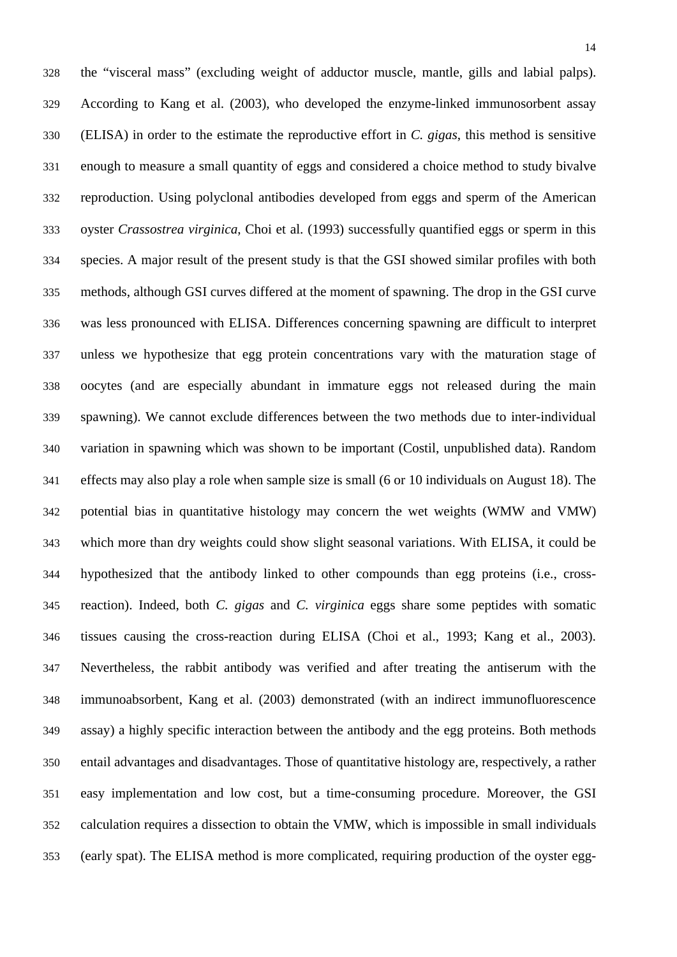the "visceral mass" (excluding weight of adductor muscle, mantle, gills and labial palps). According to Kang et al. (2003), who developed the enzyme-linked immunosorbent assay (ELISA) in order to the estimate the reproductive effort in *C. gigas*, this method is sensitive enough to measure a small quantity of eggs and considered a choice method to study bivalve reproduction. Using polyclonal antibodies developed from eggs and sperm of the American oyster *Crassostrea virginica*, Choi et al. (1993) successfully quantified eggs or sperm in this species. A major result of the present study is that the GSI showed similar profiles with both methods, although GSI curves differed at the moment of spawning. The drop in the GSI curve was less pronounced with ELISA. Differences concerning spawning are difficult to interpret unless we hypothesize that egg protein concentrations vary with the maturation stage of oocytes (and are especially abundant in immature eggs not released during the main spawning). We cannot exclude differences between the two methods due to inter-individual variation in spawning which was shown to be important (Costil, unpublished data). Random effects may also play a role when sample size is small (6 or 10 individuals on August 18). The potential bias in quantitative histology may concern the wet weights (WMW and VMW) which more than dry weights could show slight seasonal variations. With ELISA, it could be hypothesized that the antibody linked to other compounds than egg proteins (i.e., cross- reaction). Indeed, both *C. gigas* and *C. virginica* eggs share some peptides with somatic tissues causing the cross-reaction during ELISA (Choi et al., 1993; Kang et al., 2003). Nevertheless, the rabbit antibody was verified and after treating the antiserum with the immunoabsorbent, Kang et al. (2003) demonstrated (with an indirect immunofluorescence assay) a highly specific interaction between the antibody and the egg proteins. Both methods entail advantages and disadvantages. Those of quantitative histology are, respectively, a rather easy implementation and low cost, but a time-consuming procedure. Moreover, the GSI calculation requires a dissection to obtain the VMW, which is impossible in small individuals (early spat). The ELISA method is more complicated, requiring production of the oyster egg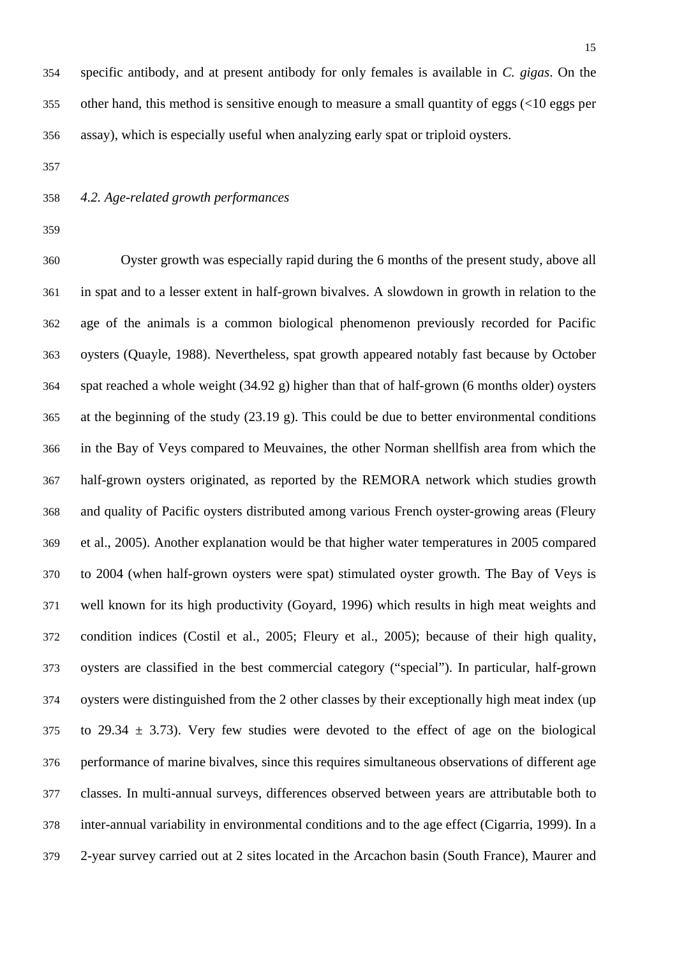specific antibody, and at present antibody for only females is available in *C. gigas*. On the other hand, this method is sensitive enough to measure a small quantity of eggs (<10 eggs per assay), which is especially useful when analyzing early spat or triploid oysters.

- 
- *4.2. Age-related growth performances*
- 

 Oyster growth was especially rapid during the 6 months of the present study, above all in spat and to a lesser extent in half-grown bivalves. A slowdown in growth in relation to the age of the animals is a common biological phenomenon previously recorded for Pacific oysters (Quayle, 1988). Nevertheless, spat growth appeared notably fast because by October spat reached a whole weight (34.92 g) higher than that of half-grown (6 months older) oysters at the beginning of the study (23.19 g). This could be due to better environmental conditions in the Bay of Veys compared to Meuvaines, the other Norman shellfish area from which the half-grown oysters originated, as reported by the REMORA network which studies growth and quality of Pacific oysters distributed among various French oyster-growing areas (Fleury et al., 2005). Another explanation would be that higher water temperatures in 2005 compared to 2004 (when half-grown oysters were spat) stimulated oyster growth. The Bay of Veys is well known for its high productivity (Goyard, 1996) which results in high meat weights and condition indices (Costil et al., 2005; Fleury et al., 2005); because of their high quality, oysters are classified in the best commercial category ("special"). In particular, half-grown oysters were distinguished from the 2 other classes by their exceptionally high meat index (up to  $29.34 \pm 3.73$ ). Very few studies were devoted to the effect of age on the biological performance of marine bivalves, since this requires simultaneous observations of different age classes. In multi-annual surveys, differences observed between years are attributable both to inter-annual variability in environmental conditions and to the age effect (Cigarria, 1999). In a 2-year survey carried out at 2 sites located in the Arcachon basin (South France), Maurer and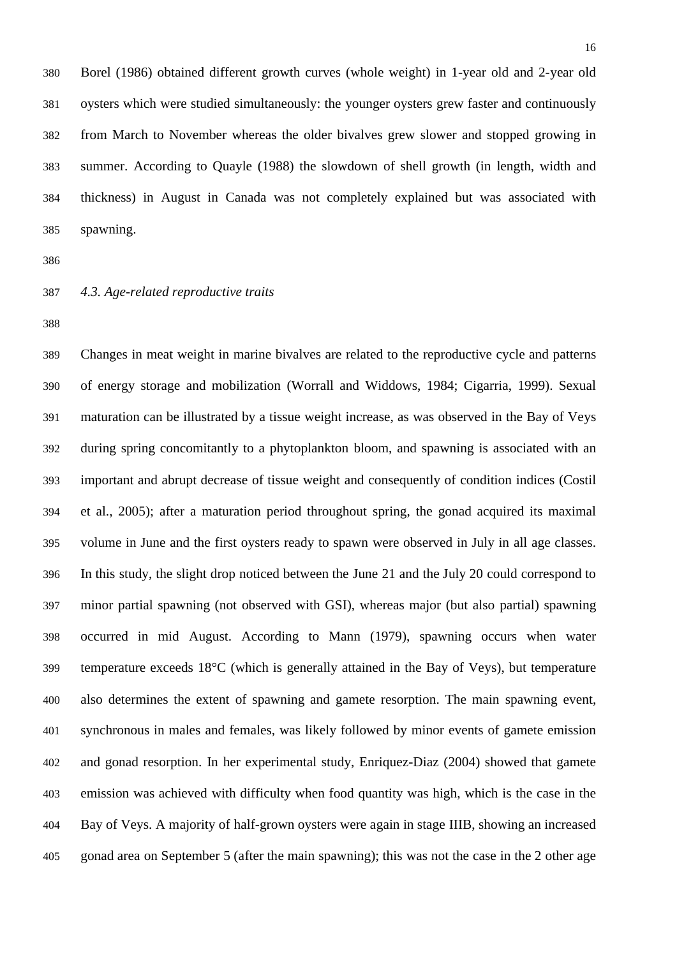Borel (1986) obtained different growth curves (whole weight) in 1-year old and 2-year old oysters which were studied simultaneously: the younger oysters grew faster and continuously from March to November whereas the older bivalves grew slower and stopped growing in summer. According to Quayle (1988) the slowdown of shell growth (in length, width and thickness) in August in Canada was not completely explained but was associated with spawning.

## *4.3. Age-related reproductive traits*

 Changes in meat weight in marine bivalves are related to the reproductive cycle and patterns of energy storage and mobilization (Worrall and Widdows, 1984; Cigarria, 1999). Sexual maturation can be illustrated by a tissue weight increase, as was observed in the Bay of Veys during spring concomitantly to a phytoplankton bloom, and spawning is associated with an important and abrupt decrease of tissue weight and consequently of condition indices (Costil et al., 2005); after a maturation period throughout spring, the gonad acquired its maximal volume in June and the first oysters ready to spawn were observed in July in all age classes. In this study, the slight drop noticed between the June 21 and the July 20 could correspond to minor partial spawning (not observed with GSI), whereas major (but also partial) spawning occurred in mid August. According to Mann (1979), spawning occurs when water temperature exceeds 18°C (which is generally attained in the Bay of Veys), but temperature also determines the extent of spawning and gamete resorption. The main spawning event, synchronous in males and females, was likely followed by minor events of gamete emission and gonad resorption. In her experimental study, Enriquez-Diaz (2004) showed that gamete emission was achieved with difficulty when food quantity was high, which is the case in the Bay of Veys. A majority of half-grown oysters were again in stage IIIB, showing an increased gonad area on September 5 (after the main spawning); this was not the case in the 2 other age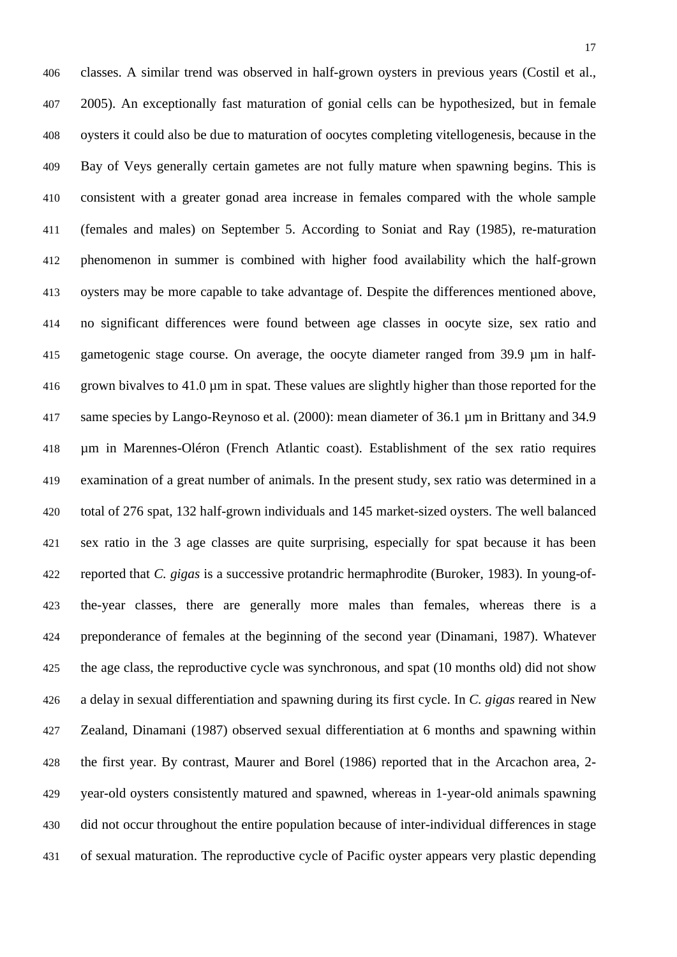classes. A similar trend was observed in half-grown oysters in previous years (Costil et al., 2005). An exceptionally fast maturation of gonial cells can be hypothesized, but in female oysters it could also be due to maturation of oocytes completing vitellogenesis, because in the Bay of Veys generally certain gametes are not fully mature when spawning begins. This is consistent with a greater gonad area increase in females compared with the whole sample (females and males) on September 5. According to Soniat and Ray (1985), re-maturation phenomenon in summer is combined with higher food availability which the half-grown oysters may be more capable to take advantage of. Despite the differences mentioned above, no significant differences were found between age classes in oocyte size, sex ratio and gametogenic stage course. On average, the oocyte diameter ranged from 39.9 µm in half- grown bivalves to 41.0 µm in spat. These values are slightly higher than those reported for the same species by Lango-Reynoso et al. (2000): mean diameter of 36.1 µm in Brittany and 34.9 µm in Marennes-Oléron (French Atlantic coast). Establishment of the sex ratio requires examination of a great number of animals. In the present study, sex ratio was determined in a total of 276 spat, 132 half-grown individuals and 145 market-sized oysters. The well balanced sex ratio in the 3 age classes are quite surprising, especially for spat because it has been reported that *C. gigas* is a successive protandric hermaphrodite (Buroker, 1983). In young-of- the-year classes, there are generally more males than females, whereas there is a preponderance of females at the beginning of the second year (Dinamani, 1987). Whatever the age class, the reproductive cycle was synchronous, and spat (10 months old) did not show a delay in sexual differentiation and spawning during its first cycle. In *C. gigas* reared in New Zealand, Dinamani (1987) observed sexual differentiation at 6 months and spawning within the first year. By contrast, Maurer and Borel (1986) reported that in the Arcachon area, 2- year-old oysters consistently matured and spawned, whereas in 1-year-old animals spawning did not occur throughout the entire population because of inter-individual differences in stage of sexual maturation. The reproductive cycle of Pacific oyster appears very plastic depending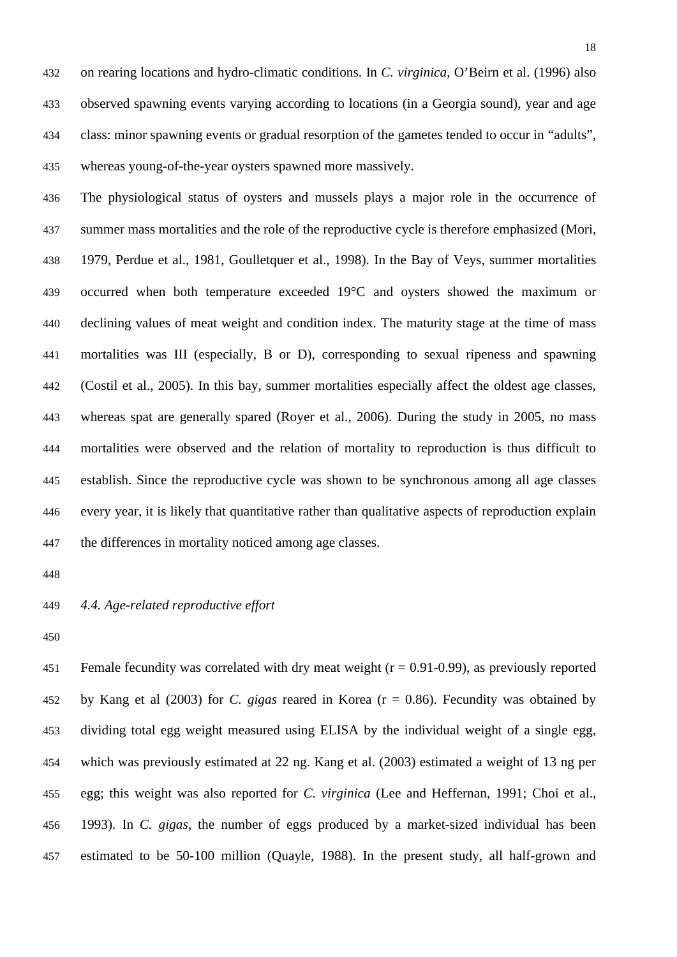on rearing locations and hydro-climatic conditions. In *C. virginica*, O'Beirn et al. (1996) also observed spawning events varying according to locations (in a Georgia sound), year and age class: minor spawning events or gradual resorption of the gametes tended to occur in "adults", whereas young-of-the-year oysters spawned more massively.

 The physiological status of oysters and mussels plays a major role in the occurrence of summer mass mortalities and the role of the reproductive cycle is therefore emphasized (Mori, 1979, Perdue et al., 1981, Goulletquer et al., 1998). In the Bay of Veys, summer mortalities occurred when both temperature exceeded 19°C and oysters showed the maximum or declining values of meat weight and condition index. The maturity stage at the time of mass mortalities was III (especially, B or D), corresponding to sexual ripeness and spawning (Costil et al., 2005). In this bay, summer mortalities especially affect the oldest age classes, whereas spat are generally spared (Royer et al., 2006). During the study in 2005, no mass mortalities were observed and the relation of mortality to reproduction is thus difficult to establish. Since the reproductive cycle was shown to be synchronous among all age classes every year, it is likely that quantitative rather than qualitative aspects of reproduction explain the differences in mortality noticed among age classes.

### *4.4. Age-related reproductive effort*

451 Female fecundity was correlated with dry meat weight  $(r = 0.91 - 0.99)$ , as previously reported by Kang et al (2003) for *C. gigas* reared in Korea (r = 0.86). Fecundity was obtained by dividing total egg weight measured using ELISA by the individual weight of a single egg, which was previously estimated at 22 ng. Kang et al. (2003) estimated a weight of 13 ng per egg; this weight was also reported for *C. virginica* (Lee and Heffernan, 1991; Choi et al., 1993). In *C. gigas*, the number of eggs produced by a market-sized individual has been estimated to be 50-100 million (Quayle, 1988). In the present study, all half-grown and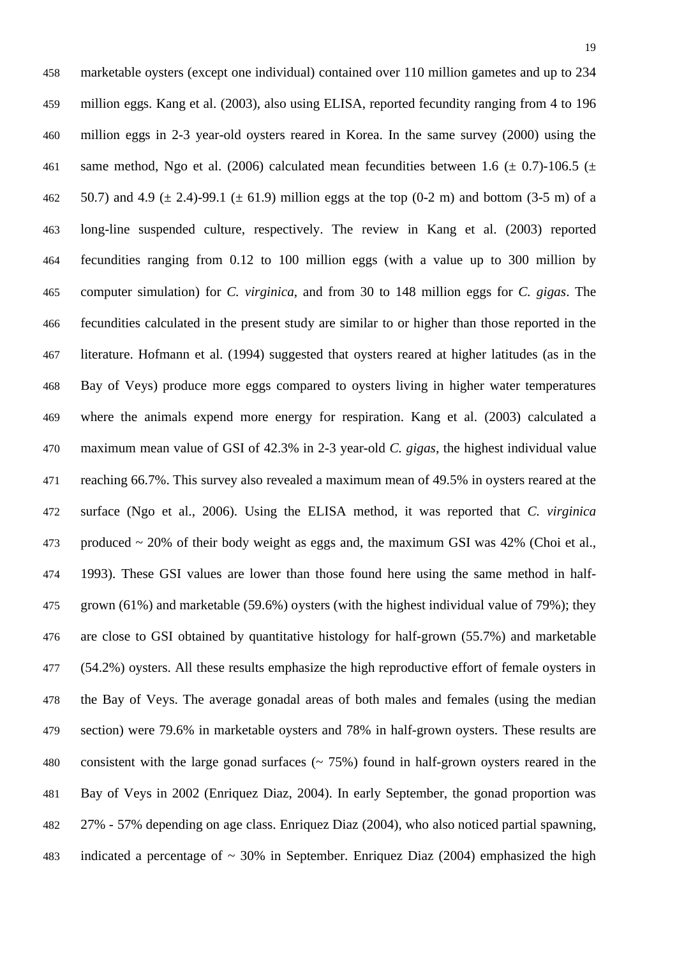marketable oysters (except one individual) contained over 110 million gametes and up to 234 million eggs. Kang et al. (2003), also using ELISA, reported fecundity ranging from 4 to 196 million eggs in 2-3 year-old oysters reared in Korea. In the same survey (2000) using the 461 same method, Ngo et al. (2006) calculated mean fecundities between 1.6 ( $\pm$  0.7)-106.5 ( $\pm$ 462 50.7) and 4.9 ( $\pm$  2.4)-99.1 ( $\pm$  61.9) million eggs at the top (0-2 m) and bottom (3-5 m) of a long-line suspended culture, respectively. The review in Kang et al. (2003) reported fecundities ranging from 0.12 to 100 million eggs (with a value up to 300 million by computer simulation) for *C. virginica*, and from 30 to 148 million eggs for *C. gigas*. The fecundities calculated in the present study are similar to or higher than those reported in the literature. Hofmann et al. (1994) suggested that oysters reared at higher latitudes (as in the Bay of Veys) produce more eggs compared to oysters living in higher water temperatures where the animals expend more energy for respiration. Kang et al. (2003) calculated a maximum mean value of GSI of 42.3% in 2-3 year-old *C. gigas*, the highest individual value reaching 66.7%. This survey also revealed a maximum mean of 49.5% in oysters reared at the surface (Ngo et al., 2006). Using the ELISA method, it was reported that *C. virginica* 473 produced  $\sim$  20% of their body weight as eggs and, the maximum GSI was 42% (Choi et al., 1993). These GSI values are lower than those found here using the same method in half- grown (61%) and marketable (59.6%) oysters (with the highest individual value of 79%); they are close to GSI obtained by quantitative histology for half-grown (55.7%) and marketable (54.2%) oysters. All these results emphasize the high reproductive effort of female oysters in the Bay of Veys. The average gonadal areas of both males and females (using the median section) were 79.6% in marketable oysters and 78% in half-grown oysters. These results are 480 consistent with the large gonad surfaces  $(2.75%)$  found in half-grown oysters reared in the Bay of Veys in 2002 (Enriquez Diaz, 2004). In early September, the gonad proportion was 27% - 57% depending on age class. Enriquez Diaz (2004), who also noticed partial spawning, 483 indicated a percentage of  $\sim$  30% in September. Enriquez Diaz (2004) emphasized the high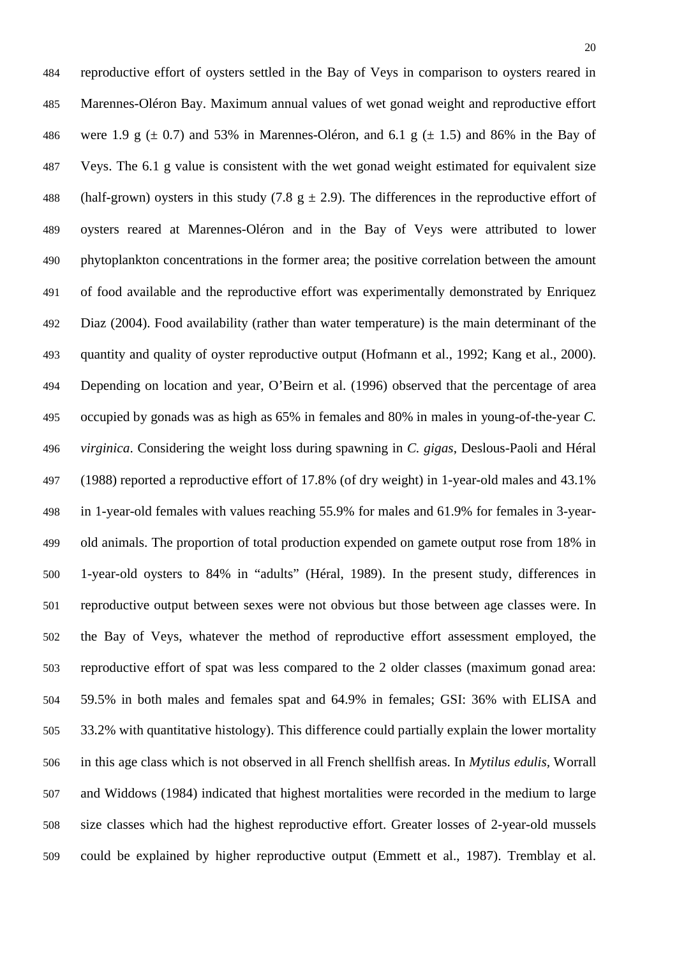reproductive effort of oysters settled in the Bay of Veys in comparison to oysters reared in Marennes-Oléron Bay. Maximum annual values of wet gonad weight and reproductive effort 486 were 1.9 g ( $\pm$  0.7) and 53% in Marennes-Oléron, and 6.1 g ( $\pm$  1.5) and 86% in the Bay of Veys. The 6.1 g value is consistent with the wet gonad weight estimated for equivalent size 488 (half-grown) oysters in this study (7.8  $g \pm 2.9$ ). The differences in the reproductive effort of oysters reared at Marennes-Oléron and in the Bay of Veys were attributed to lower phytoplankton concentrations in the former area; the positive correlation between the amount of food available and the reproductive effort was experimentally demonstrated by Enriquez Diaz (2004). Food availability (rather than water temperature) is the main determinant of the quantity and quality of oyster reproductive output (Hofmann et al., 1992; Kang et al., 2000). Depending on location and year, O'Beirn et al. (1996) observed that the percentage of area occupied by gonads was as high as 65% in females and 80% in males in young-of-the-year *C. virginica*. Considering the weight loss during spawning in *C. gigas*, Deslous-Paoli and Héral (1988) reported a reproductive effort of 17.8% (of dry weight) in 1-year-old males and 43.1% in 1-year-old females with values reaching 55.9% for males and 61.9% for females in 3-year- old animals. The proportion of total production expended on gamete output rose from 18% in 1-year-old oysters to 84% in "adults" (Héral, 1989). In the present study, differences in reproductive output between sexes were not obvious but those between age classes were. In the Bay of Veys, whatever the method of reproductive effort assessment employed, the reproductive effort of spat was less compared to the 2 older classes (maximum gonad area: 59.5% in both males and females spat and 64.9% in females; GSI: 36% with ELISA and 33.2% with quantitative histology). This difference could partially explain the lower mortality in this age class which is not observed in all French shellfish areas. In *Mytilus edulis,* Worrall and Widdows (1984) indicated that highest mortalities were recorded in the medium to large size classes which had the highest reproductive effort. Greater losses of 2-year-old mussels could be explained by higher reproductive output (Emmett et al., 1987). Tremblay et al.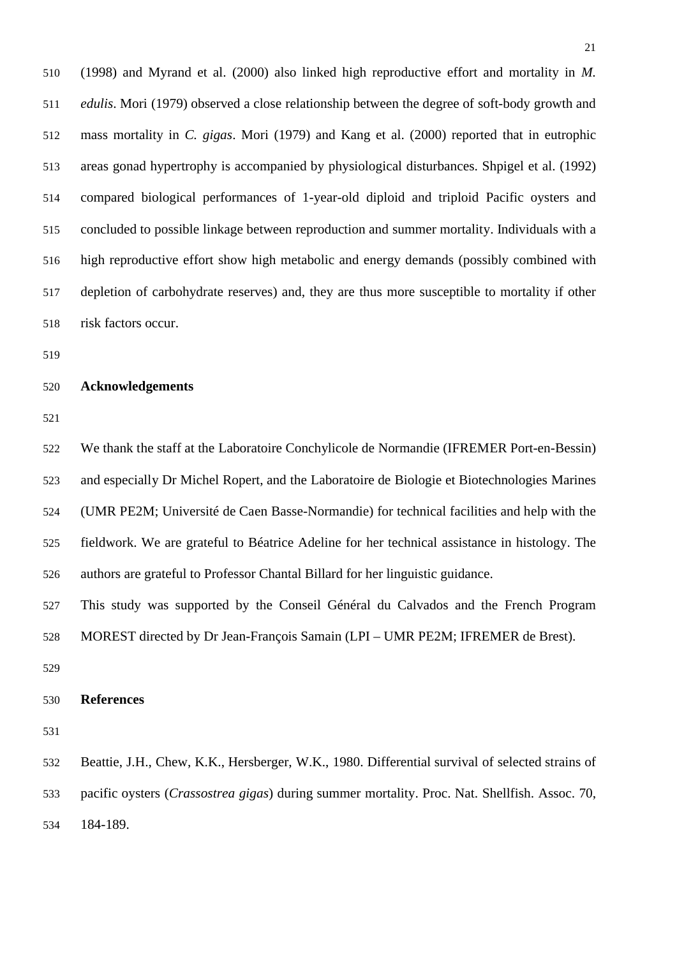(1998) and Myrand et al. (2000) also linked high reproductive effort and mortality in *M. edulis*. Mori (1979) observed a close relationship between the degree of soft-body growth and mass mortality in *C. gigas*. Mori (1979) and Kang et al. (2000) reported that in eutrophic areas gonad hypertrophy is accompanied by physiological disturbances. Shpigel et al. (1992) compared biological performances of 1-year-old diploid and triploid Pacific oysters and concluded to possible linkage between reproduction and summer mortality. Individuals with a high reproductive effort show high metabolic and energy demands (possibly combined with depletion of carbohydrate reserves) and, they are thus more susceptible to mortality if other risk factors occur.

#### **Acknowledgements**

 We thank the staff at the Laboratoire Conchylicole de Normandie (IFREMER Port-en-Bessin) and especially Dr Michel Ropert, and the Laboratoire de Biologie et Biotechnologies Marines (UMR PE2M; Université de Caen Basse-Normandie) for technical facilities and help with the fieldwork. We are grateful to Béatrice Adeline for her technical assistance in histology. The authors are grateful to Professor Chantal Billard for her linguistic guidance.

 This study was supported by the Conseil Général du Calvados and the French Program MOREST directed by Dr Jean-François Samain (LPI – UMR PE2M; IFREMER de Brest).

#### **References**

 Beattie, J.H., Chew, K.K., Hersberger, W.K., 1980. Differential survival of selected strains of pacific oysters (*Crassostrea gigas*) during summer mortality. Proc. Nat. Shellfish. Assoc. 70, 184-189.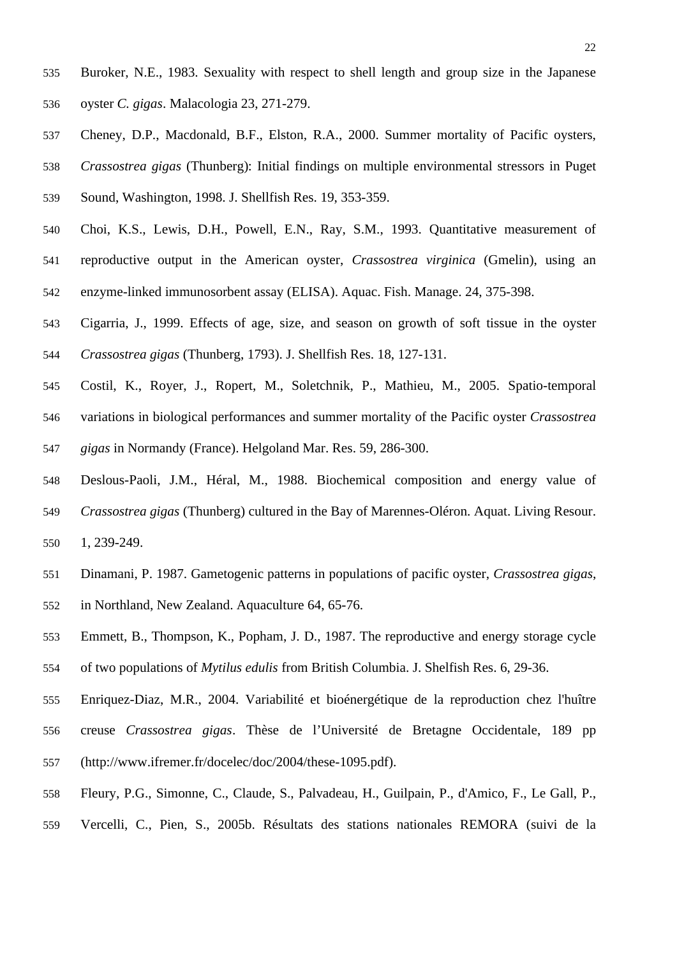- Buroker, N.E., 1983. Sexuality with respect to shell length and group size in the Japanese
- oyster *C. gigas*. Malacologia 23, 271-279.
- Cheney, D.P., Macdonald, B.F., Elston, R.A., 2000. Summer mortality of Pacific oysters, *Crassostrea gigas* (Thunberg): Initial findings on multiple environmental stressors in Puget Sound, Washington, 1998. J. Shellfish Res. 19, 353-359.
- Choi, K.S., Lewis, D.H., Powell, E.N., Ray, S.M., 1993. Quantitative measurement of reproductive output in the American oyster, *Crassostrea virginica* (Gmelin), using an enzyme-linked immunosorbent assay (ELISA). Aquac. Fish. Manage. 24, 375-398.
- Cigarria, J., 1999. Effects of age, size, and season on growth of soft tissue in the oyster *Crassostrea gigas* (Thunberg, 1793). J. Shellfish Res. 18, 127-131.
- Costil, K., Royer, J., Ropert, M., Soletchnik, P., Mathieu, M., 2005. Spatio-temporal variations in biological performances and summer mortality of the Pacific oyster *Crassostrea gigas* in Normandy (France). Helgoland Mar. Res. 59, 286-300.
- Deslous-Paoli, J.M., Héral, M., 1988. Biochemical composition and energy value of *Crassostrea gigas* (Thunberg) cultured in the Bay of Marennes-Oléron. Aquat. Living Resour. 1, 239-249.
- Dinamani, P. 1987. Gametogenic patterns in populations of pacific oyster, *Crassostrea gigas*, in Northland, New Zealand. Aquaculture 64, 65-76.
- Emmett, B., Thompson, K., Popham, J. D., 1987. The reproductive and energy storage cycle of two populations of *Mytilus edulis* from British Columbia. J. Shelfish Res. 6, 29-36.
- Enriquez-Diaz, M.R., 2004. Variabilité et bioénergétique de la reproduction chez l'huître creuse *Crassostrea gigas*. Thèse de l'Université de Bretagne Occidentale, 189 pp (http://www.ifremer.fr/docelec/doc/2004/these-1095.pdf).
- Fleury, P.G., Simonne, C., Claude, S., Palvadeau, H., Guilpain, P., d'Amico, F., Le Gall, P.,
- Vercelli, C., Pien, S., 2005b. Résultats des stations nationales REMORA (suivi de la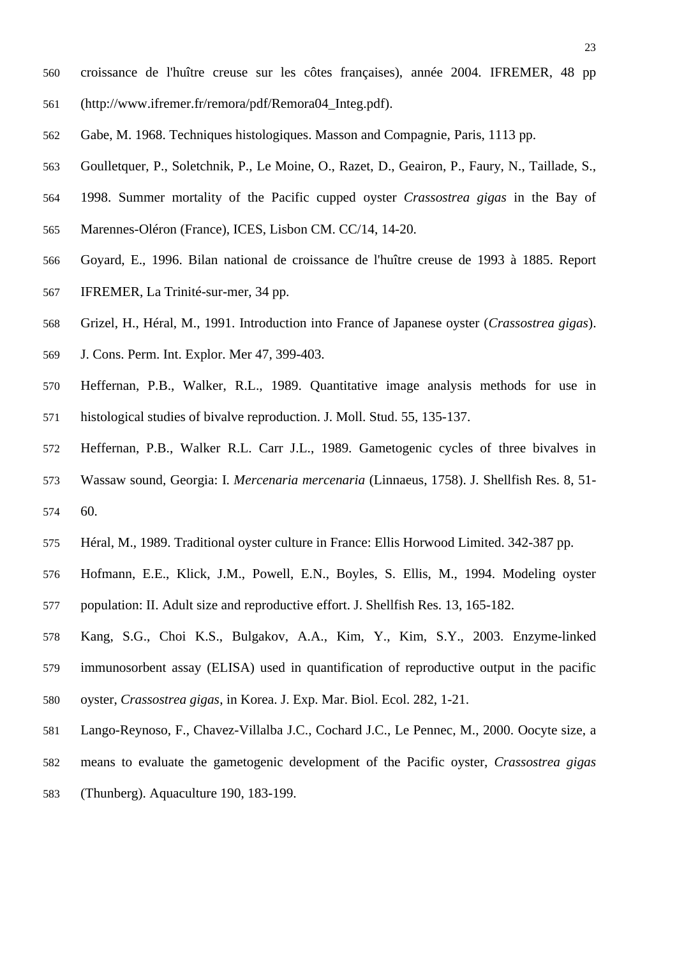- croissance de l'huître creuse sur les côtes françaises), année 2004. IFREMER, 48 pp
- (http://www.ifremer.fr/remora/pdf/Remora04\_Integ.pdf).
- Gabe, M. 1968. Techniques histologiques. Masson and Compagnie, Paris, 1113 pp.
- Goulletquer, P., Soletchnik, P., Le Moine, O., Razet, D., Geairon, P., Faury, N., Taillade, S.,
- 1998. Summer mortality of the Pacific cupped oyster *Crassostrea gigas* in the Bay of
- Marennes-Oléron (France), ICES, Lisbon CM. CC/14, 14-20.
- Goyard, E., 1996. Bilan national de croissance de l'huître creuse de 1993 à 1885. Report IFREMER, La Trinité-sur-mer, 34 pp.
- Grizel, H., Héral, M., 1991. Introduction into France of Japanese oyster (*Crassostrea gigas*).
- J. Cons. Perm. Int. Explor. Mer 47, 399-403.
- Heffernan, P.B., Walker, R.L., 1989. Quantitative image analysis methods for use in histological studies of bivalve reproduction. J. Moll. Stud. 55, 135-137.
- Heffernan, P.B., Walker R.L. Carr J.L., 1989. Gametogenic cycles of three bivalves in
- Wassaw sound, Georgia: I. *Mercenaria mercenaria* (Linnaeus, 1758). J. Shellfish Res. 8, 51- 60.
- Héral, M., 1989. Traditional oyster culture in France: Ellis Horwood Limited. 342-387 pp.
- Hofmann, E.E., Klick, J.M., Powell, E.N., Boyles, S. Ellis, M., 1994. Modeling oyster
- population: II. Adult size and reproductive effort. J. Shellfish Res. 13, 165-182.
- Kang, S.G., Choi K.S., Bulgakov, A.A., Kim, Y., Kim, S.Y., 2003. Enzyme-linked
- immunosorbent assay (ELISA) used in quantification of reproductive output in the pacific
- oyster, *Crassostrea gigas*, in Korea. J. Exp. Mar. Biol. Ecol. 282, 1-21.
- Lango-Reynoso, F., Chavez-Villalba J.C., Cochard J.C., Le Pennec, M., 2000. Oocyte size, a
- means to evaluate the gametogenic development of the Pacific oyster, *Crassostrea gigas*
- (Thunberg). Aquaculture 190, 183-199.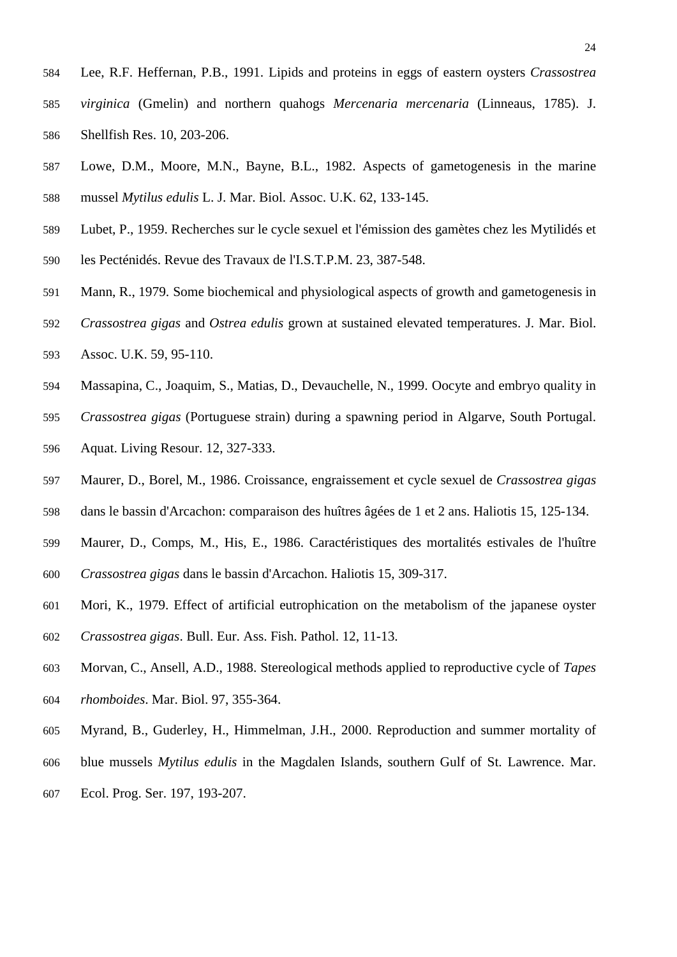- Lee, R.F. Heffernan, P.B., 1991. Lipids and proteins in eggs of eastern oysters *Crassostrea virginica* (Gmelin) and northern quahogs *Mercenaria mercenaria* (Linneaus, 1785). J. Shellfish Res. 10, 203-206.
- Lowe, D.M., Moore, M.N., Bayne, B.L., 1982. Aspects of gametogenesis in the marine mussel *Mytilus edulis* L. J. Mar. Biol. Assoc. U.K. 62, 133-145.
- Lubet, P., 1959. Recherches sur le cycle sexuel et l'émission des gamètes chez les Mytilidés et
- les Pecténidés. Revue des Travaux de l'I.S.T.P.M. 23, 387-548.
- Mann, R., 1979. Some biochemical and physiological aspects of growth and gametogenesis in
- *Crassostrea gigas* and *Ostrea edulis* grown at sustained elevated temperatures. J. Mar. Biol.
- Assoc. U.K. 59, 95-110.
- Massapina, C., Joaquim, S., Matias, D., Devauchelle, N., 1999. Oocyte and embryo quality in
- *Crassostrea gigas* (Portuguese strain) during a spawning period in Algarve, South Portugal.
- Aquat. Living Resour. 12, 327-333.
- Maurer, D., Borel, M., 1986. Croissance, engraissement et cycle sexuel de *Crassostrea gigas*
- dans le bassin d'Arcachon: comparaison des huîtres âgées de 1 et 2 ans. Haliotis 15, 125-134.
- Maurer, D., Comps, M., His, E., 1986. Caractéristiques des mortalités estivales de l'huître
- *Crassostrea gigas* dans le bassin d'Arcachon. Haliotis 15, 309-317.
- Mori, K., 1979. Effect of artificial eutrophication on the metabolism of the japanese oyster *Crassostrea gigas*. Bull. Eur. Ass. Fish. Pathol. 12, 11-13.
- Morvan, C., Ansell, A.D., 1988. Stereological methods applied to reproductive cycle of *Tapes rhomboides*. Mar. Biol. 97, 355-364.
- Myrand, B., Guderley, H., Himmelman, J.H., 2000. Reproduction and summer mortality of
- blue mussels *Mytilus edulis* in the Magdalen Islands, southern Gulf of St. Lawrence. Mar.
- Ecol. Prog. Ser. 197, 193-207.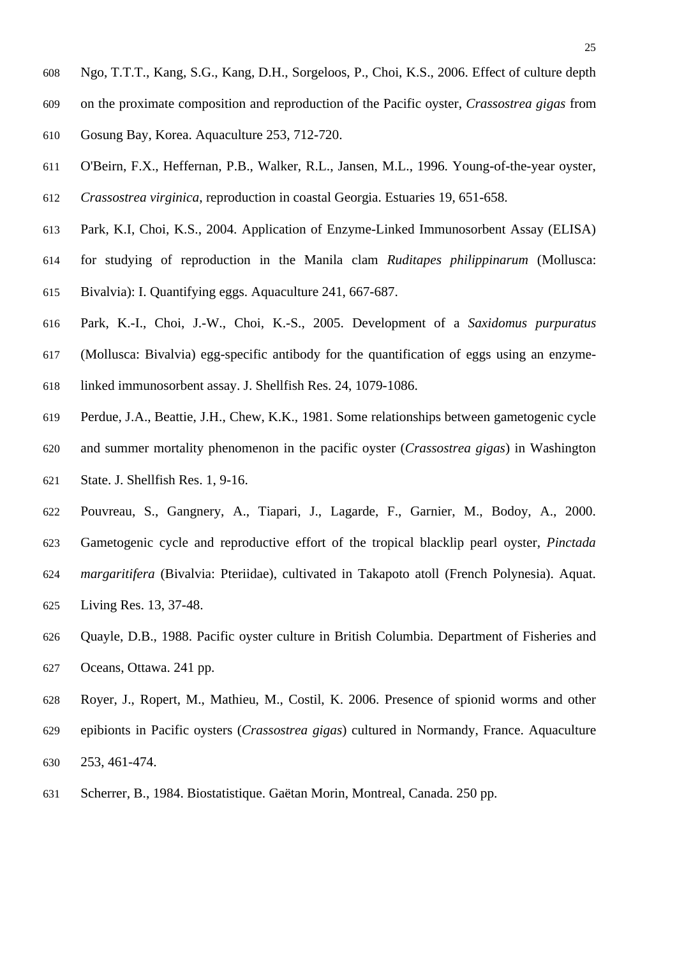- Ngo, T.T.T., Kang, S.G., Kang, D.H., Sorgeloos, P., Choi, K.S., 2006. Effect of culture depth
- on the proximate composition and reproduction of the Pacific oyster, *Crassostrea gigas* from Gosung Bay, Korea. Aquaculture 253, 712-720.
- O'Beirn, F.X., Heffernan, P.B., Walker, R.L., Jansen, M.L., 1996. Young-of-the-year oyster, *Crassostrea virginica*, reproduction in coastal Georgia. Estuaries 19, 651-658.
- Park, K.I, Choi, K.S., 2004. Application of Enzyme-Linked Immunosorbent Assay (ELISA)
- for studying of reproduction in the Manila clam *Ruditapes philippinarum* (Mollusca: Bivalvia): I. Quantifying eggs. Aquaculture 241, 667-687.
- Park, K.-I., Choi, J.-W., Choi, K.-S., 2005. Development of a *Saxidomus purpuratus*
- (Mollusca: Bivalvia) egg-specific antibody for the quantification of eggs using an enzyme-linked immunosorbent assay. J. Shellfish Res. 24, 1079-1086.
- Perdue, J.A., Beattie, J.H., Chew, K.K., 1981. Some relationships between gametogenic cycle and summer mortality phenomenon in the pacific oyster (*Crassostrea gigas*) in Washington State. J. Shellfish Res. 1, 9-16.
- Pouvreau, S., Gangnery, A., Tiapari, J., Lagarde, F., Garnier, M., Bodoy, A., 2000. Gametogenic cycle and reproductive effort of the tropical blacklip pearl oyster, *Pinctada margaritifera* (Bivalvia: Pteriidae), cultivated in Takapoto atoll (French Polynesia). Aquat. Living Res. 13, 37-48.
- Quayle, D.B., 1988. Pacific oyster culture in British Columbia. Department of Fisheries and Oceans, Ottawa. 241 pp.
- Royer, J., Ropert, M., Mathieu, M., Costil, K. 2006. Presence of spionid worms and other
- epibionts in Pacific oysters (*Crassostrea gigas*) cultured in Normandy, France. Aquaculture 253, 461-474.
- Scherrer, B., 1984. Biostatistique. Gaëtan Morin, Montreal, Canada. 250 pp.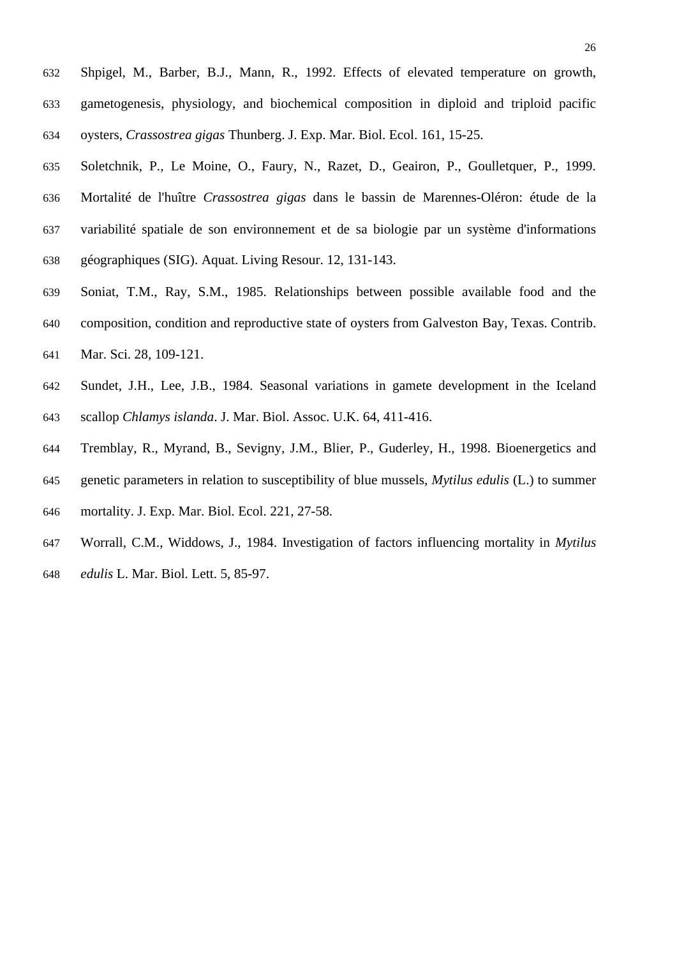- Shpigel, M., Barber, B.J., Mann, R., 1992. Effects of elevated temperature on growth, gametogenesis, physiology, and biochemical composition in diploid and triploid pacific oysters, *Crassostrea gigas* Thunberg. J. Exp. Mar. Biol. Ecol. 161, 15-25.
- Soletchnik, P., Le Moine, O., Faury, N., Razet, D., Geairon, P., Goulletquer, P., 1999. Mortalité de l'huître *Crassostrea gigas* dans le bassin de Marennes-Oléron: étude de la variabilité spatiale de son environnement et de sa biologie par un système d'informations géographiques (SIG). Aquat. Living Resour. 12, 131-143.
- Soniat, T.M., Ray, S.M., 1985. Relationships between possible available food and the composition, condition and reproductive state of oysters from Galveston Bay, Texas. Contrib.
- Mar. Sci. 28, 109-121.
- Sundet, J.H., Lee, J.B., 1984. Seasonal variations in gamete development in the Iceland scallop *Chlamys islanda*. J. Mar. Biol. Assoc. U.K. 64, 411-416.
- Tremblay, R., Myrand, B., Sevigny, J.M., Blier, P., Guderley, H., 1998. Bioenergetics and
- genetic parameters in relation to susceptibility of blue mussels, *Mytilus edulis* (L.) to summer
- mortality. J. Exp. Mar. Biol. Ecol. 221, 27-58.
- Worrall, C.M., Widdows, J., 1984. Investigation of factors influencing mortality in *Mytilus edulis* L. Mar. Biol. Lett. 5, 85-97.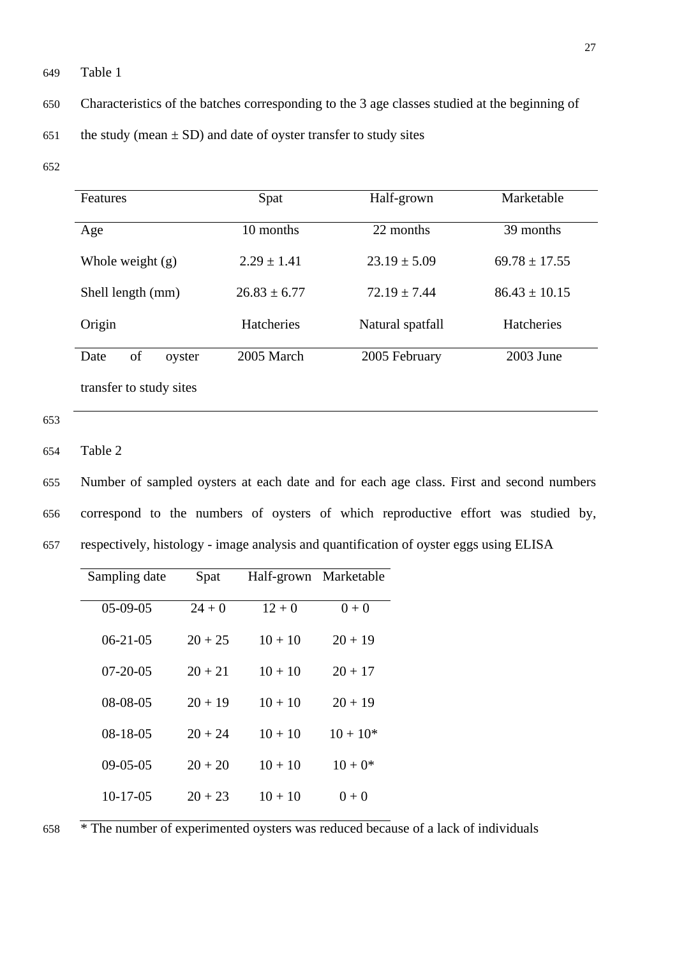649 Table 1

- 650 Characteristics of the batches corresponding to the 3 age classes studied at the beginning of
- 651 the study (mean  $\pm$  SD) and date of oyster transfer to study sites
- 652

| Features                | Spat              | Half-grown       | Marketable        |
|-------------------------|-------------------|------------------|-------------------|
| Age                     | 10 months         | 22 months        |                   |
| Whole weight (g)        | $2.29 \pm 1.41$   | $23.19 \pm 5.09$ | $69.78 \pm 17.55$ |
| Shell length (mm)       | $26.83 \pm 6.77$  | $72.19 \pm 7.44$ | $86.43 \pm 10.15$ |
| Origin                  | <b>Hatcheries</b> | Natural spatfall | <b>Hatcheries</b> |
| of<br>Date<br>oyster    | 2005 March        | 2005 February    | $2003$ June       |
| transfer to study sites |                   |                  |                   |

653

654 Table 2

655 Number of sampled oysters at each date and for each age class. First and second numbers 656 correspond to the numbers of oysters of which reproductive effort was studied by, 657 respectively, histology - image analysis and quantification of oyster eggs using ELISA

| Sampling date  | Spat      | Half-grown Marketable |            |
|----------------|-----------|-----------------------|------------|
| $05-09-05$     | $24 + 0$  | $12 + 0$              | $0 + 0$    |
| $06 - 21 - 05$ | $20 + 25$ | $10 + 10$             | $20 + 19$  |
| $07-20-05$     | $20 + 21$ | $10 + 10$             | $20 + 17$  |
| $08-08-05$     | $20 + 19$ | $10 + 10$             | $20 + 19$  |
| $08 - 18 - 05$ | $20 + 24$ | $10 + 10$             | $10 + 10*$ |
| $09 - 05 - 05$ | $20 + 20$ | $10 + 10$             | $10 + 0*$  |
| $10-17-05$     | $20 + 23$ | $10 + 10$             | $0 + 0$    |

658 \* The number of experimented oysters was reduced because of a lack of individuals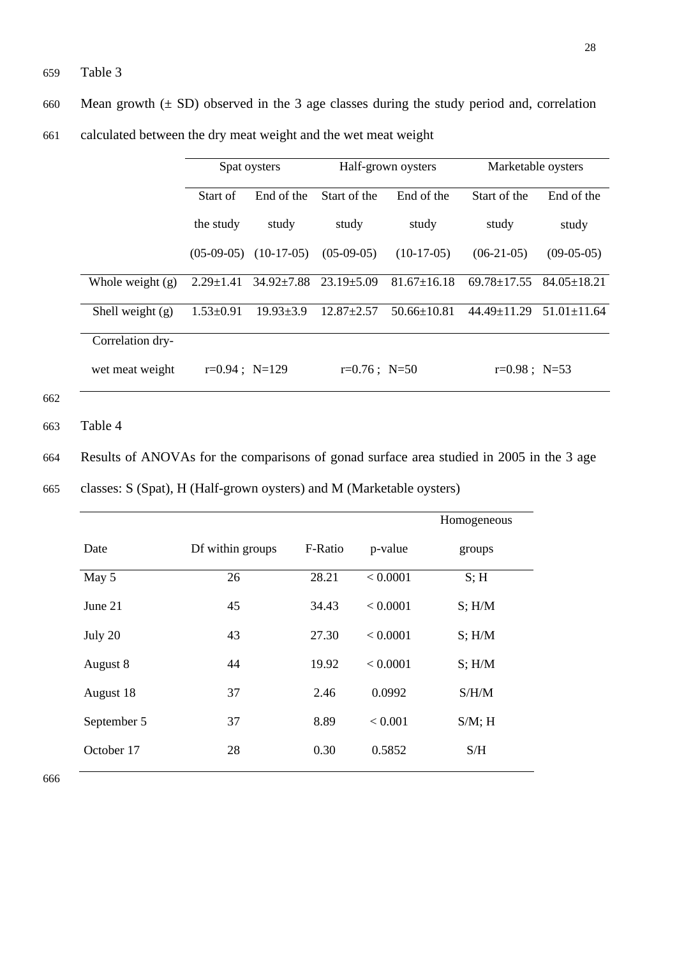660 Mean growth  $(\pm SD)$  observed in the 3 age classes during the study period and, correlation 661 calculated between the dry meat weight and the wet meat weight

|                    | Spat oysters     |                  | Half-grown oysters |                   | Marketable oysters |                   |
|--------------------|------------------|------------------|--------------------|-------------------|--------------------|-------------------|
|                    | Start of         | End of the       | Start of the       | End of the        | Start of the       | End of the        |
|                    | the study        | study            | study              | study             | study              | study             |
|                    | $(05-09-05)$     | $(10-17-05)$     | $(05-09-05)$       | $(10-17-05)$      | $(06-21-05)$       | $(09-05-05)$      |
| Whole weight $(g)$ | $2.29 \pm 1.41$  | $34.92 \pm 7.88$ | $23.19 \pm 5.09$   | $81.67 \pm 16.18$ | $69.78 + 17.55$    | $84.05 + 18.21$   |
| Shell weight (g)   | $1.53 \pm 0.91$  | $19.93 \pm 3.9$  | $12.87 \pm 2.57$   | $50.66 \pm 10.81$ | $44.49 \pm 11.29$  | $51.01 \pm 11.64$ |
| Correlation dry-   |                  |                  |                    |                   |                    |                   |
| wet meat weight    | $r=0.94$ ; N=129 |                  | $r=0.76$ ; N=50    |                   | $r=0.98$ ; N=53    |                   |
|                    |                  |                  |                    |                   |                    |                   |

666

663 Table 4

664 Results of ANOVAs for the comparisons of gonad surface area studied in 2005 in the 3 age

665 classes: S (Spat), H (Half-grown oysters) and M (Marketable oysters)

|             |                  |         |          | Homogeneous |
|-------------|------------------|---------|----------|-------------|
| Date        | Df within groups | F-Ratio | p-value  | groups      |
| May 5       | 26               | 28.21   | < 0.0001 | S; H        |
| June 21     | 45               | 34.43   | < 0.0001 | $S$ ; $H/M$ |
| July 20     | 43               | 27.30   | < 0.0001 | $S$ ; $H/M$ |
| August 8    | 44               | 19.92   | < 0.0001 | $S$ ; $H/M$ |
| August 18   | 37               | 2.46    | 0.0992   | S/H/M       |
| September 5 | 37               | 8.89    | < 0.001  | $S/M$ ; H   |
| October 17  | 28               | 0.30    | 0.5852   | S/H         |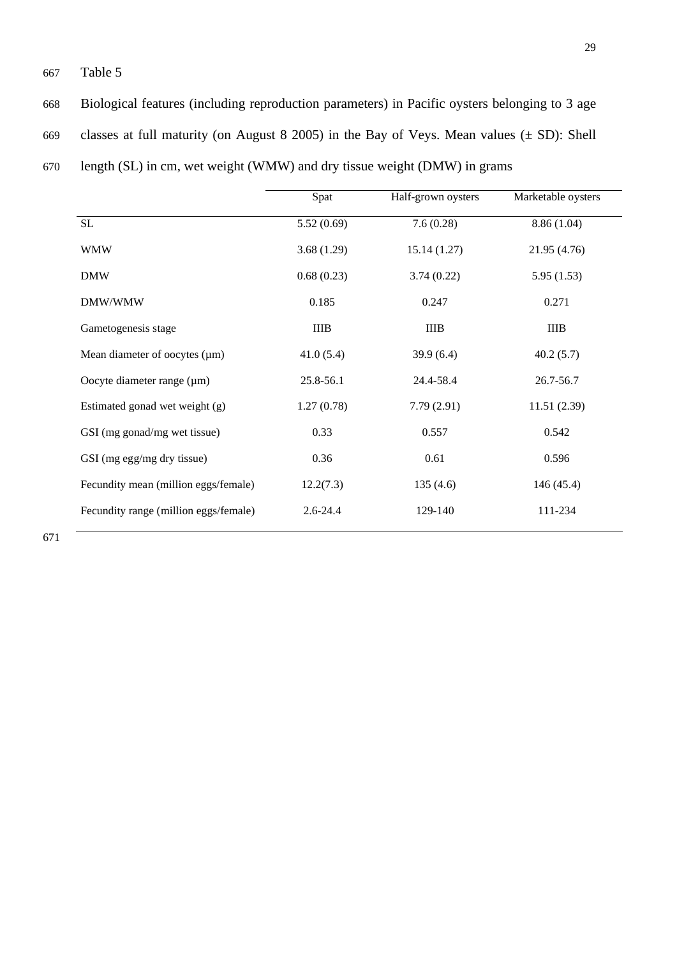# 667 Table 5

668 Biological features (including reproduction parameters) in Pacific oysters belonging to 3 age 669 classes at full maturity (on August 8 2005) in the Bay of Veys. Mean values  $(\pm SD)$ : Shell

670 length (SL) in cm, wet weight (WMW) and dry tissue weight (DMW) in grams

|                                       | Spat         | Half-grown oysters | Marketable oysters |
|---------------------------------------|--------------|--------------------|--------------------|
| <b>SL</b>                             | 5.52(0.69)   | 7.6(0.28)          | 8.86(1.04)         |
| <b>WMW</b>                            | 3.68(1.29)   | 15.14(1.27)        | 21.95 (4.76)       |
| <b>DMW</b>                            | 0.68(0.23)   | 3.74(0.22)         | 5.95(1.53)         |
| DMW/WMW                               | 0.185        | 0.247              | 0.271              |
| Gametogenesis stage                   | IIIB         | <b>IIIB</b>        | <b>IIIB</b>        |
| Mean diameter of oocytes (µm)         | 41.0(5.4)    | 39.9(6.4)          | 40.2(5.7)          |
| Oocyte diameter range $(\mu m)$       | 25.8-56.1    | 24.4-58.4          | 26.7-56.7          |
| Estimated gonad wet weight (g)        | 1.27(0.78)   | 7.79(2.91)         | 11.51(2.39)        |
| GSI (mg gonad/mg wet tissue)          | 0.33         | 0.557              | 0.542              |
| $GSI$ (mg egg/mg dry tissue)          | 0.36         | 0.61               | 0.596              |
| Fecundity mean (million eggs/female)  | 12.2(7.3)    | 135(4.6)           | 146 (45.4)         |
| Fecundity range (million eggs/female) | $2.6 - 24.4$ | 129-140            | 111-234            |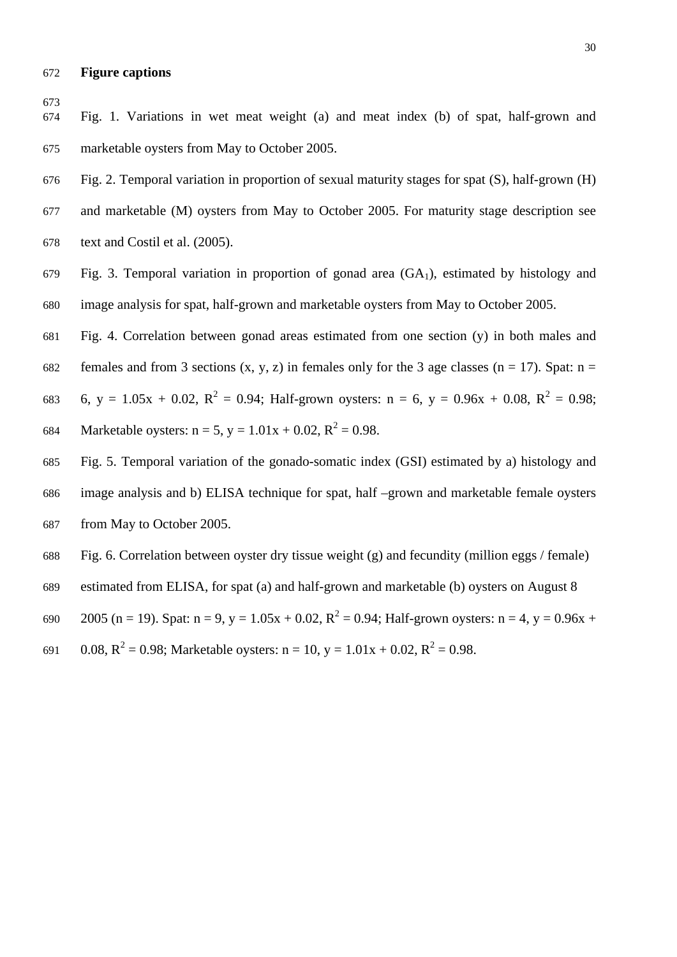#### **Figure captions**

 Fig. 1. Variations in wet meat weight (a) and meat index (b) of spat, half-grown and marketable oysters from May to October 2005.

- Fig. 2. Temporal variation in proportion of sexual maturity stages for spat (S), half-grown (H) and marketable (M) oysters from May to October 2005. For maturity stage description see text and Costil et al. (2005).
- 679 Fig. 3. Temporal variation in proportion of gonad area  $(GA_1)$ , estimated by histology and image analysis for spat, half-grown and marketable oysters from May to October 2005.
- Fig. 4. Correlation between gonad areas estimated from one section (y) in both males and
- 682 females and from 3 sections (x, y, z) in females only for the 3 age classes (n = 17). Spat: n = 683 6, y = 1.05x + 0.02,  $R^2 = 0.94$ ; Half-grown oysters: n = 6, y = 0.96x + 0.08,  $R^2 = 0.98$ ; 684 Marketable oysters:  $n = 5$ ,  $y = 1.01x + 0.02$ ,  $R^2 = 0.98$ .
- Fig. 5. Temporal variation of the gonado-somatic index (GSI) estimated by a) histology and image analysis and b) ELISA technique for spat, half –grown and marketable female oysters from May to October 2005.
- Fig. 6. Correlation between oyster dry tissue weight (g) and fecundity (million eggs / female)
- estimated from ELISA, for spat (a) and half-grown and marketable (b) oysters on August 8
- 690 2005 (n = 19). Spat: n = 9, y = 1.05x + 0.02,  $R^2 = 0.94$ ; Half-grown oysters: n = 4, y = 0.96x +
- 691 0.08,  $R^2 = 0.98$ ; Marketable oysters: n = 10, y = 1.01x + 0.02,  $R^2 = 0.98$ .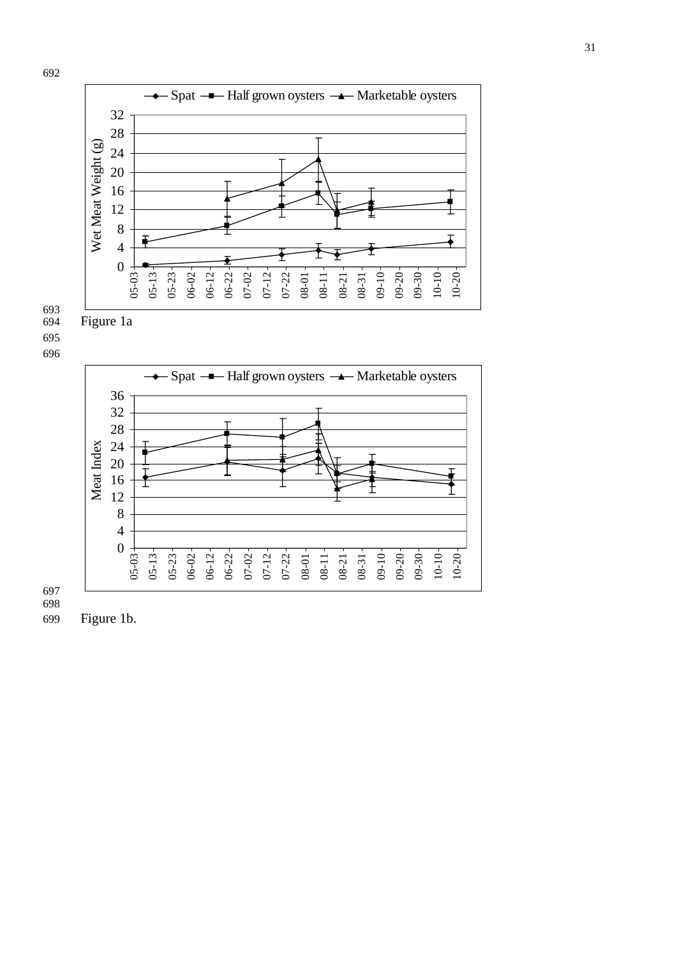



 $\rightarrow$  Spat  $\rightarrow$  Half grown oysters  $\rightarrow$  Marketable oysters 36 32 28 Meat Index Meat Index 24 20 16 12  $\,8\,$ 8<br>4<br>0  $\overline{4}$  $\overline{0}$  $05-03+$  $07 - 12$  $05 - 13$  $09-10$  $05 - 23 -$ 06-02  $06-12 06 - 22 -$ 07-02 07-22 09-20 09-30 08-01 08-11 08-21 08-31 10-10 10-20

699 Figure 1b.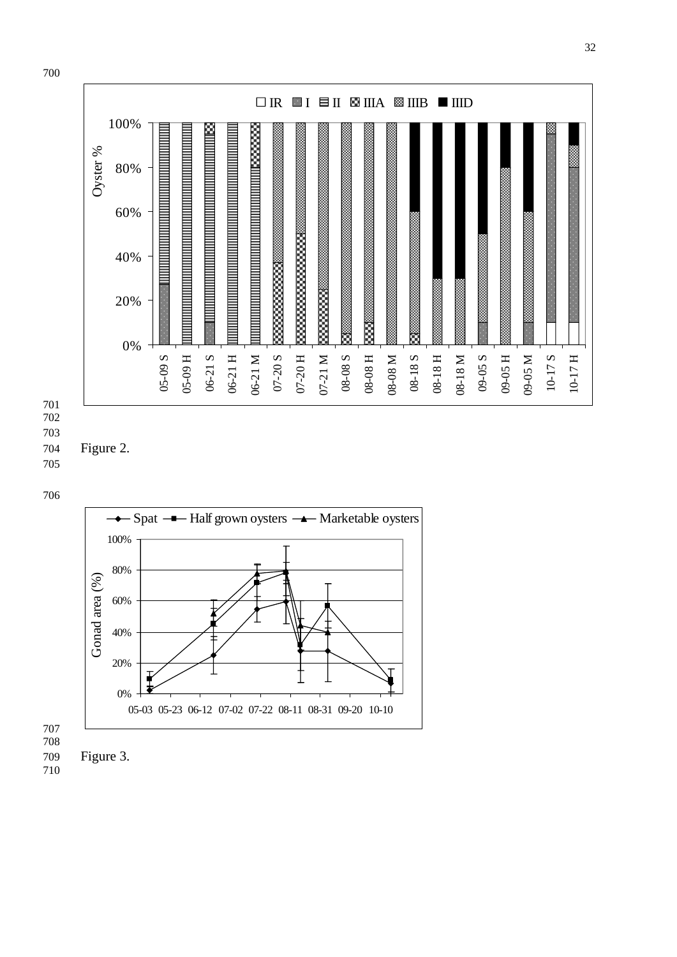



701 702

706



707 708

709 Figure 3.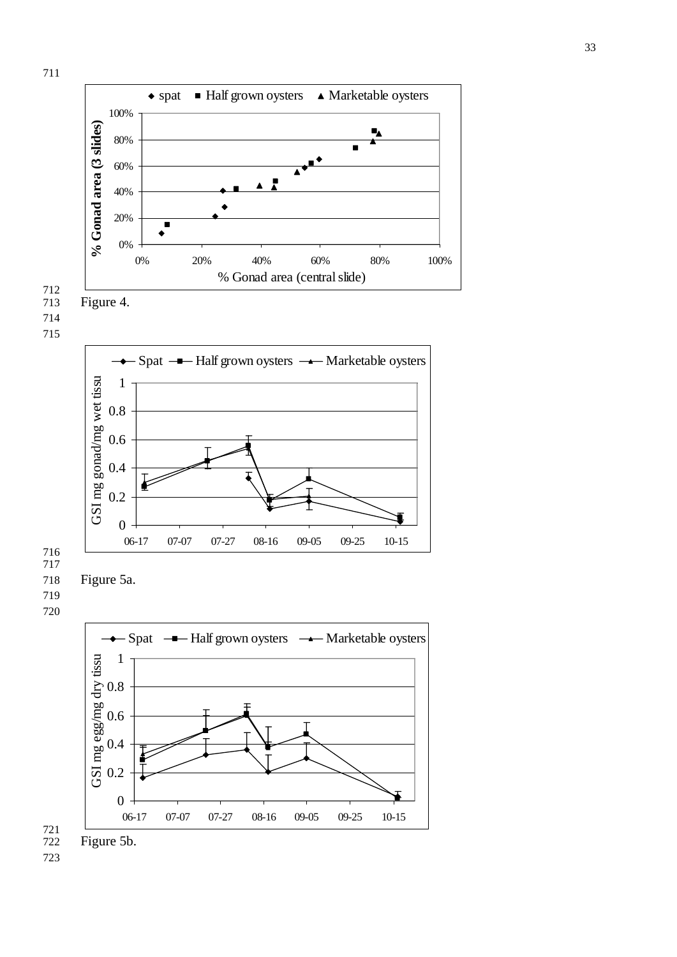